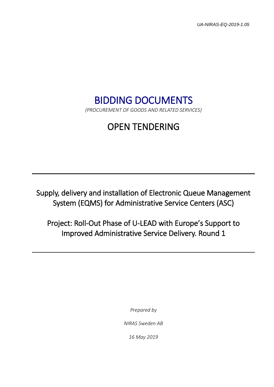*UA-NIRAS-EQ-2019-1.05*

# BIDDING DOCUMENTS

*(PROCUREMENT OF GOODS AND RELATED SERVICES)*

# OPEN TENDERING

Supply, delivery and installation of Electronic Queue Management System (EQMS) for Administrative Service Centers (ASC)

Project: Roll-Out Phase of U-LEAD with Europe's Support to Improved Administrative Service Delivery. Round 1

*Prepared by*

*NIRAS Sweden AB*

*16 May 2019*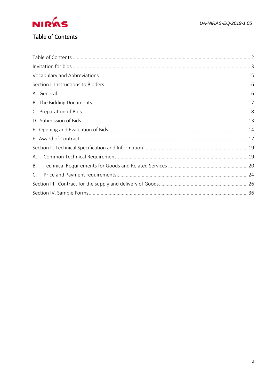<span id="page-1-0"></span>

| А. |  |
|----|--|
| Β. |  |
| C. |  |
|    |  |
|    |  |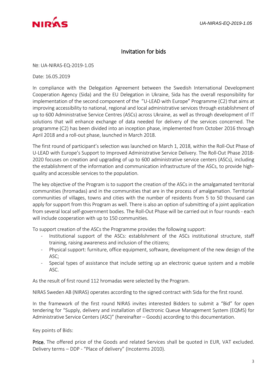<span id="page-2-0"></span>

# Invitation for bids

№: UA-NIRAS-EQ-2019-1.05

Date: 16.05.2019

In compliance with the Delegation Agreement between the Swedish International Development Cooperation Agency (Sida) and the EU Delegation in Ukraine, Sida has the overall responsibility for implementation of the second component of the "U-LEAD with Europe" Programme (C2) that aims at improving accessibility to national, regional and local administrative services through establishment of up to 600 Administrative Service Centres (ASCs) across Ukraine, as well as through development of IT solutions that will enhance exchange of data needed for delivery of the services concerned. The programme (C2) has been divided into an inception phase, implemented from October 2016 through April 2018 and a roll-out phase, launched in March 2018.

The first round of participant's selection was launched on March 1, 2018, within the Roll-Out Phase of U-LEAD with Europe's Support to Improved Administrative Service Delivery. The Roll-Out Phase 2018- 2020 focuses on creation and upgrading of up to 600 administrative service centers (ASCs), including the establishment of the information and communication infrastructure of the ASCs, to provide highquality and accessible services to the population.

The key objective of the Program is to support the creation of the ASCs in the amalgamated territorial communities (hromadas) and in the communities that are in the process of amalgamation. Territorial communities of villages, towns and cities with the number of residents from 5 to 50 thousand can apply for support from this Program as well. There is also an option of submitting of a joint application from several local self-government bodies. The Roll-Out Phase will be carried out in four rounds - each will include cooperation with up to 150 communities.

To support creation of the ASCs the Programme provides the following support:

- Institutional support of the ASCs: establishment of the ASCs institutional structure, staff training, raising awareness and inclusion of the citizens;
- Physical support: furniture, office equipment, software, development of the new design of the ASC;
- Special types of assistance that include setting up an electronic queue system and a mobile ASC.

As the result of first round 112 hromadas were selected by the Program.

NIRAS Sweden AB (NIRAS) operates according to the signed contract with Sida for the first round.

In the framework of the first round NIRAS invites interested Bidders to submit a "Bid" for open tendering for "Supply, delivery and installation of Electronic Queue Management System (EQMS) for Administrative Service Centers (ASC)" (hereinafter – Goods) according to this documentation.

Key points of Bids:

Price. The offered price of the Goods and related Services shall be quoted in EUR, VAT excluded. Delivery terms – DDP - "Place of delivery" (Incoterms 2010).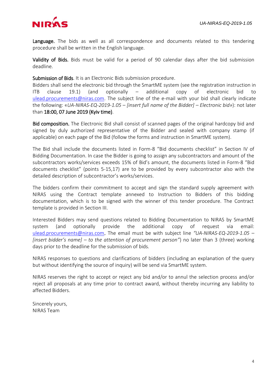

Language. The bids as well as all correspondence and documents related to this tendering procedure shall be written in the English language.

Validity of Bids. Bids must be valid for a period of 90 calendar days after the bid submission deadline.

Submission of Bids. It is an Electronic Bids submission procedure.

Bidders shall send the electronic bid through the SmartME system (see the registration instruction in ITB clause 19.1) (and optionally  $-$  additional copy of electronic bid [ulead.procurements@niras.com.](mailto:ulead.procurements@niras.com) The subject line of the e-mail with your bid shall clearly indicate the following: «*UA-NIRAS-EQ-2019-1.05 – [insert full name of the Bidder] – Electronic bid»*): not later than 18:00, 07 June 2019 (Kyiv time).

Bid composition. The Electronic Bid shall consist of scanned pages of the original hardcopy bid and signed by duly authorized representative of the Bidder and sealed with company stamp (if applicable) on each page of the Bid (follow the forms and instruction in SmartME system).

The Bid shall include the documents listed in Form-8 "Bid documents checklist" in Section IV of Bidding Documentation. In case the Bidder is going to assign any subcontractors and amount of the subcontractors works/services exceeds 15% of Bid's amount, the documents listed in Form-8 "Bid documents checklist" (points 5-15,17) are to be provided by every subcontractor also with the detailed description of subcontractor's works/services.

The bidders confirm their commitment to accept and sign the standard supply agreement with NIRAS using the Contract template annexed to Instruction to Bidders of this bidding documentation, which is to be signed with the winner of this tender procedure. The Contract template is provided in Section III.

Interested Bidders may send questions related to Bidding Documentation to NIRAS by SmartME system (and optionally provide the additional copy of request via email: [ulead.procurements@niras.com.](mailto:ulead.procurements@niras.com) The email must be with subject line *"UA-NIRAS-EQ-2019-1.05 – [insert bidder's name] – to the attention of procurement person"*) no later than 3 (three) working days prior to the deadline for the submission of bids*.* 

NIRAS responses to questions and clarifications of bidders (including an explanation of the query but without identifying the source of inquiry) will be send via SmartME system.

NIRAS reserves the right to accept or reject any bid and/or to annul the selection process and/or reject all proposals at any time prior to contract award, without thereby incurring any liability to affected Bidders.

Sincerely yours, NIRAS Team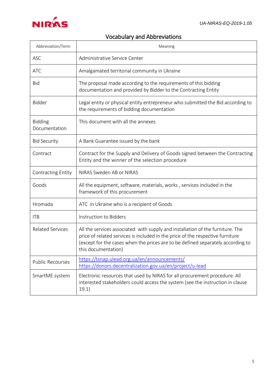<span id="page-4-0"></span>

# Vocabulary and Abbreviations

| Abbreviation/Term               | Meaning                                                                                                                                                                                                                                                                    |
|---------------------------------|----------------------------------------------------------------------------------------------------------------------------------------------------------------------------------------------------------------------------------------------------------------------------|
| <b>ASC</b>                      | Administrative Service Center                                                                                                                                                                                                                                              |
| <b>ATC</b>                      | Amalgamated territorial community in Ukraine                                                                                                                                                                                                                               |
| <b>Bid</b>                      | The proposal made according to the requirements of this bidding<br>documentation and provided by Bidder to the Contracting Entity                                                                                                                                          |
| Bidder                          | Legal entity or physical entity entrepreneur who submitted the Bid according to<br>the requirements of bidding documentation                                                                                                                                               |
| <b>Bidding</b><br>Documentation | This document with all the annexes                                                                                                                                                                                                                                         |
| <b>Bid Security</b>             | A Bank Guarantee issued by the bank                                                                                                                                                                                                                                        |
| Contract                        | Contract for the Supply and Delivery of Goods signed between the Contracting<br>Entity and the winner of the selection procedure                                                                                                                                           |
| <b>Contracting Entity</b>       | NIRAS Sweden AB or NIRAS                                                                                                                                                                                                                                                   |
| Goods                           | All the equipment, software, materials, works, services included in the<br>framework of this procurement                                                                                                                                                                   |
| Hromada                         | ATC in Ukraine who is a recipient of Goods                                                                                                                                                                                                                                 |
| <b>ITB</b>                      | Instruction to Bidders                                                                                                                                                                                                                                                     |
| <b>Related Services</b>         | All the services associated with supply and installation of the furniture. The<br>price of related services is included in the price of the respective furniture<br>(except for the cases when the prices are to be defined separately according to<br>this documentation) |
| <b>Public Recourses</b>         | https://tsnap.ulead.org.ua/en/announcements/<br>https://donors.decentralization.gov.ua/en/project/u-lead                                                                                                                                                                   |
| SmartME system                  | Electronic resources that used by NIRAS for all procurement procedure. All<br>interested stakeholders could access the system (see the instruction in clause<br>19.1)                                                                                                      |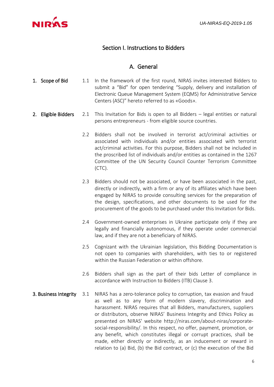<span id="page-5-0"></span>

## Section I. Instructions to Bidders

#### A. General

- <span id="page-5-1"></span>1. Scope of Bid 1.1 In the framework of the first round, NIRAS invites interested Bidders to submit a "Bid" for open tendering "Supply, delivery and installation of Electronic Queue Management System (EQMS) for Administrative Service Centers (ASC)" hereto referred to as «Goods».
- 2. Eligible Bidders 2.1 This Invitation for Bids is open to all Bidders legal entities or natural persons entrepreneurs - from eligible source countries.
	- 2.2 Bidders shall not be involved in terrorist act/criminal activities or associated with individuals and/or entities associated with terrorist act/criminal activities. For this purpose, Bidders shall not be included in the proscribed list of individuals and/or entities as contained in the 1267 Committee of the UN Security Council Counter Terrorism Committee (CTC).
	- 2.3 Bidders should not be associated, or have been associated in the past, directly or indirectly, with a firm or any of its affiliates which have been engaged by NIRAS to provide consulting services for the preparation of the design, specifications, and other documents to be used for the procurement of the goods to be purchased under this Invitation for Bids.
	- 2.4 Government-owned enterprises in Ukraine participate only if they are legally and financially autonomous, if they operate under commercial law, and if they are not a beneficiary of NIRAS.
	- 2.5 Cognizant with the Ukrainian legislation, this Bidding Documentation is not open to companies with shareholders, with ties to or registered within the Russian Federation or within offshore.
	- 2.6 Bidders shall sign as the part of their bids Letter of compliance in accordance with Instruction to Bidders (ITB) Clause 3.
- 3. Business Integrity 3.1 NIRAS has a zero-tolerance policy to corruption, tax evasion and fraud as well as to any form of modern slavery, discrimination and harassment. NIRAS requires that all Bidders, manufacturers, suppliers or distributors, observe NIRAS' Business Integrity and Ethics Policy as presented on NIRAS' website [http://niras.com/about-niras/corporate](http://niras.com/about-niras/corporate-social-responsibility/)[social-responsibility/.](http://niras.com/about-niras/corporate-social-responsibility/) In this respect, no offer, payment, promotion, or any benefit, which constitutes illegal or corrupt practices, shall be made, either directly or indirectly, as an inducement or reward in relation to (a) Bid, (b) the Bid contract, or (c) the execution of the Bid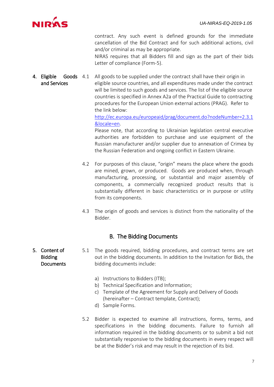

contract. Any such event is defined grounds for the immediate cancellation of the Bid Contract and for such additional actions, civil and/or criminal as may be appropriate.

NIRAS requires that all Bidders fill and sign as the part of their bids Letter of compliance (Form-5).

4. Eligible Goods and Services All goods to be supplied under the contract shall have their origin in eligible source countries, and all expenditures made under the contract will be limited to such goods and services. The list of the eligible source countries is specified in Annex A2a of the Practical Guide to contracting procedures for the European Union external actions (PRAG). Refer to the link below:

[http://ec.europa.eu/europeaid/prag/document.do?nodeNumber=2.3.1](http://ec.europa.eu/europeaid/prag/document.do?nodeNumber=2.3.1&locale=en) [&locale=en.](http://ec.europa.eu/europeaid/prag/document.do?nodeNumber=2.3.1&locale=en)

Please note, that according to Ukrainian legislation central executive authorities are forbidden to purchase and use equipment of the Russian manufacturer and/or supplier due to annexation of Crimea by the Russian Federation and ongoing conflict in Eastern Ukraine.

- 4.2 For purposes of this clause, "origin" means the place where the goods are mined, grown, or produced. Goods are produced when, through manufacturing, processing, or substantial and major assembly of components, a commercially recognized product results that is substantially different in basic characteristics or in purpose or utility from its components.
- 4.3 The origin of goods and services is distinct from the nationality of the Bidder.

### B. The Bidding Documents

- <span id="page-6-0"></span>Bidding **Documents** 5.1 The goods required, bidding procedures, and contract terms are set out in the bidding documents. In addition to the Invitation for Bids, the bidding documents include:
	- a) Instructions to Bidders (ITB);
	- b) Technical Specification and Information;
	- c) Template of the Agreement for Supply and Delivery of Goods (hereinafter – Contract template, Contract);
	- d) Sample Forms.
	- 5.2 Bidder is expected to examine all instructions, forms, terms, and specifications in the bidding documents. Failure to furnish all information required in the bidding documents or to submit a bid not substantially responsive to the bidding documents in every respect will be at the Bidder's risk and may result in the rejection of its bid.

5. Content of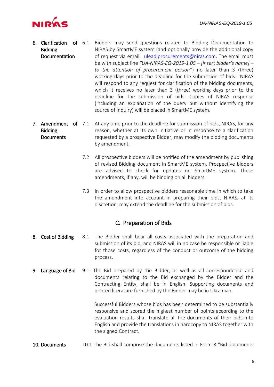

- 6. Clarification of Bidding Documentation 6.1 Bidders may send questions related to Bidding Documentation to NIRAS by SmartME system (and optionally provide the additional copy of request via email: [ulead.procurements@niras.com.](mailto:ulead.procurements@niras.com) The email must be with subject line *"UA-NIRAS-EQ-2019-1.05 – [insert bidder's name] – to the attention of procurement person"*) no later than 3 (three) working days prior to the deadline for the submission of bids. NIRAS will respond to any request for clarification of the bidding documents, which it receives no later than 3 (three) working days prior to the deadline for the submission of bids. Copies of NIRAS response (including an explanation of the query but without identifying the source of inquiry) will be placed in SmartME system.
- 7. Amendment of 7.1 Bidding **Documents** At any time prior to the deadline for submission of bids, NIRAS, for any reason, whether at its own initiative or in response to a clarification requested by a prospective Bidder, may modify the bidding documents by amendment.
	- 7.2 All prospective bidders will be notified of the amendment by publishing of revised Bidding document in SmartME system. Prospective bidders are advised to check for updates on SmartME system. These amendments, if any, will be binding on all bidders.
	- 7.3 In order to allow prospective bidders reasonable time in which to take the amendment into account in preparing their bids, NIRAS, at its discretion, may extend the deadline for the submission of bids.

### C. Preparation of Bids

- <span id="page-7-0"></span>8. Cost of Bidding 8.1 The Bidder shall bear all costs associated with the preparation and submission of its bid, and NIRAS will in no case be responsible or liable for those costs, regardless of the conduct or outcome of the bidding process.
- 9. Language of Bid 9.1. The Bid prepared by the Bidder, as well as all correspondence and documents relating to the Bid exchanged by the Bidder and the Contracting Entity, shall be in English. Supporting documents and printed literature furnished by the Bidder may be in Ukrainian.

Successful Bidders whose bids has been determined to be substantially responsive and scored the highest number of points according to the evaluation results shall translate all the documents of their bids into English and provide the translations in hardcopy to NIRAS together with the signed Contract.

10. Documents 10.1 The Bid shall comprise the documents listed in Form-8 "Bid documents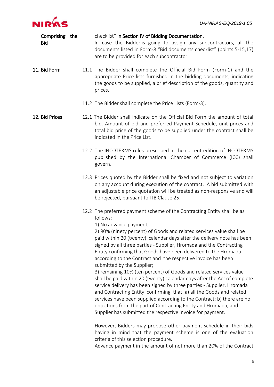

| Comprising the<br><b>Bid</b> |  | checklist" in Section IV of Bidding Documentation.<br>In case the Bidder is going to assign any subcontractors, all the<br>documents listed in Form-8 "Bid documents checklist" (points 5-15,17)<br>are to be provided for each subcontractor.                                                                                                                                                                                                                                                                                                                                                                                                                                                                                                                                                                                                                                                                                                                                                                                                                                                                                                                 |
|------------------------------|--|----------------------------------------------------------------------------------------------------------------------------------------------------------------------------------------------------------------------------------------------------------------------------------------------------------------------------------------------------------------------------------------------------------------------------------------------------------------------------------------------------------------------------------------------------------------------------------------------------------------------------------------------------------------------------------------------------------------------------------------------------------------------------------------------------------------------------------------------------------------------------------------------------------------------------------------------------------------------------------------------------------------------------------------------------------------------------------------------------------------------------------------------------------------|
| 11. Bid Form                 |  | 11.1 The Bidder shall complete the Official Bid Form (Form-1) and the<br>appropriate Price lists furnished in the bidding documents, indicating<br>the goods to be supplied, a brief description of the goods, quantity and<br>prices.                                                                                                                                                                                                                                                                                                                                                                                                                                                                                                                                                                                                                                                                                                                                                                                                                                                                                                                         |
|                              |  | 11.2 The Bidder shall complete the Price Lists (Form-3).                                                                                                                                                                                                                                                                                                                                                                                                                                                                                                                                                                                                                                                                                                                                                                                                                                                                                                                                                                                                                                                                                                       |
| 12. Bid Prices               |  | 12.1 The Bidder shall indicate on the Official Bid Form the amount of total<br>bid. Amount of bid and preferred Payment Schedule, unit prices and<br>total bid price of the goods to be supplied under the contract shall be<br>indicated in the Price List.                                                                                                                                                                                                                                                                                                                                                                                                                                                                                                                                                                                                                                                                                                                                                                                                                                                                                                   |
|                              |  | 12.2 The INCOTERMS rules prescribed in the current edition of INCOTERMS<br>published by the International Chamber of Commerce (ICC) shall<br>govern.                                                                                                                                                                                                                                                                                                                                                                                                                                                                                                                                                                                                                                                                                                                                                                                                                                                                                                                                                                                                           |
|                              |  | 12.3 Prices quoted by the Bidder shall be fixed and not subject to variation<br>on any account during execution of the contract. A bid submitted with<br>an adjustable price quotation will be treated as non-responsive and will<br>be rejected, pursuant to ITB Clause 25.                                                                                                                                                                                                                                                                                                                                                                                                                                                                                                                                                                                                                                                                                                                                                                                                                                                                                   |
|                              |  | 12.2 The preferred payment scheme of the Contracting Entity shall be as<br>follows:<br>1) No advance payment;<br>2) 90% (ninety percent) of Goods and related services value shall be<br>paid within 20 (twenty) calendar days after the delivery note has been<br>signed by all three parties - Supplier, Hromada and the Contracting<br>Entity confirming that Goods have been delivered to the Hromada<br>according to the Contract and the respective invoice has been<br>submitted by the Supplier;<br>3) remaining 10% (ten percent) of Goods and related services value<br>shall be paid within 20 (twenty) calendar days after the Act of complete<br>service delivery has been signed by three parties - Supplier, Hromada<br>and Contracting Entity confirming that: a) all the Goods and related<br>services have been supplied according to the Contract; b) there are no<br>objections from the part of Contracting Entity and Hromada, and<br>Supplier has submitted the respective invoice for payment.<br>However, Bidders may propose other payment schedule in their bids<br>having in mind that the payment scheme is one of the evaluation |
|                              |  | criteria of this selection procedure.                                                                                                                                                                                                                                                                                                                                                                                                                                                                                                                                                                                                                                                                                                                                                                                                                                                                                                                                                                                                                                                                                                                          |

Advance payment in the amount of not more than 20% of the Contract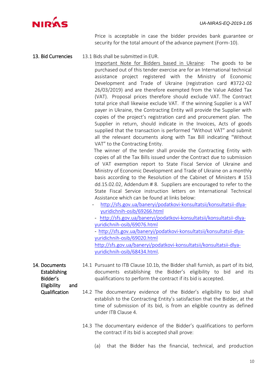

Price is acceptable in case the bidder provides bank guarantee or security for the total amount of the advance payment (Form-10).

#### 13. Bid Currencies 13.1 Bids shall be submitted in EUR.

 Important Note for Bidders based in Ukraine: The goods to be purchased out of this tender exercise are for an International technical assistance project registered with the Ministry of Economic Development and Trade of Ukraine (registration card #3722-02 26/03/2019) and are therefore exempted from the Value Added Tax (VAT). Proposal prices therefore should exclude VAT. The Contract total price shall likewise exclude VAT. If the winning Supplier is a VAT payer in Ukraine, the Contracting Entity will provide the Supplier with copies of the project's registration card and procurement plan. The Supplier in return, should indicate in the Invoices, Acts of goods supplied that the transaction is performed "Without VAT" and submit all the relevant documents along with Tax Bill indicating "Without VAT" to the Contracting Entity.

The winner of the tender shall provide the Contracting Entity with copies of all the Tax Bills issued under the Contract due to submission of VAT exemption report to State Fiscal Service of Ukraine and Ministry of Economic Development and Trade of Ukraine on a monthly basis according to the Resolution of the Cabinet of Ministers # 153 dd.15.02.02, Addendum # 8. Suppliers are encouraged to refer to the State Fiscal Service instruction letters on International Technical Assistance which can be found at links below:

- [http://sfs.gov.ua/baneryi/podatkovi-konsultatsii/konsultatsii-dlya](http://sfs.gov.ua/baneryi/podatkovi-konsultatsii/konsultatsii-dlya-yuridichnih-osib/69266.html)[yuridichnih-osib/69266.html](http://sfs.gov.ua/baneryi/podatkovi-konsultatsii/konsultatsii-dlya-yuridichnih-osib/69266.html)
- [http://sfs.gov.ua/baneryi/podatkovi-konsultatsii/konsultatsii-dlya](http://sfs.gov.ua/baneryi/podatkovi-konsultatsii/konsultatsii-dlya-yuridichnih-osib/69076.html)[yuridichnih-osib/69076.html](http://sfs.gov.ua/baneryi/podatkovi-konsultatsii/konsultatsii-dlya-yuridichnih-osib/69076.html)
- [http://sfs.gov.ua/baneryi/podatkovi-konsultatsii/konsultatsii-dlya](http://sfs.gov.ua/baneryi/podatkovi-konsultatsii/konsultatsii-dlya-yuridichnih-osib/69020.html)[yuridichnih-osib/69020.html](http://sfs.gov.ua/baneryi/podatkovi-konsultatsii/konsultatsii-dlya-yuridichnih-osib/69020.html) [http://sfs.gov.ua/baneryi/podatkovi-konsultatsii/konsultatsii-dlya](http://sfs.gov.ua/baneryi/podatkovi-konsultatsii/konsultatsii-dlya-yuridichnih-osib/68434.html)[yuridichnih-osib/68434.html.](http://sfs.gov.ua/baneryi/podatkovi-konsultatsii/konsultatsii-dlya-yuridichnih-osib/68434.html)
- 14. Documents Establishing Bidder's 14.1 Pursuant to ITB Clause 10.1b, the Bidder shall furnish, as part of its bid, documents establishing the Bidder's eligibility to bid and its qualifications to perform the contract if its bid is accepted.
	- Eligibility and Qualification
		- 14.2 The documentary evidence of the Bidder's eligibility to bid shall establish to the Contracting Entity's satisfaction that the Bidder, at the time of submission of its bid, is from an eligible country as defined under ITB Clause 4.
			- 14.3 The documentary evidence of the Bidder's qualifications to perform the contract if its bid is accepted shall prove:
				- (a) that the Bidder has the financial, technical, and production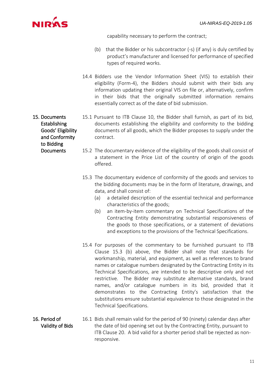

capability necessary to perform the contract;

- (b) that the Bidder or his subcontractor (-s) (if any) is duly certified by product's manufacturer and licensed for performance of specified types of required works.
- 14.4 Bidders use the Vendor Information Sheet (VIS) to establish their eligibility (Form-4), the Bidders should submit with their bids any information updating their original VIS on file or, alternatively, confirm in their bids that the originally submitted information remains essentially correct as of the date of bid submission.
- 15. Documents Establishing Goods' Eligibility and Conformity 15.1 Pursuant to ITB Clause 10, the Bidder shall furnish, as part of its bid, documents establishing the eligibility and conformity to the bidding documents of all goods, which the Bidder proposes to supply under the contract.
	- 15.2 The documentary evidence of the eligibility of the goods shall consist of a statement in the Price List of the country of origin of the goods offered.
	- 15.3 The documentary evidence of conformity of the goods and services to the bidding documents may be in the form of literature, drawings, and data, and shall consist of:
		- (a) a detailed description of the essential technical and performance characteristics of the goods;
		- (b) an item-by-item commentary on Technical Specifications of the Contracting Entity demonstrating substantial responsiveness of the goods to those specifications, or a statement of deviations and exceptions to the provisions of the Technical Specifications.
	- 15.4 For purposes of the commentary to be furnished pursuant to ITB Clause 15.3 (b) above, the Bidder shall note that standards for workmanship, material, and equipment, as well as references to brand names or catalogue numbers designated by the Contracting Entity in its Technical Specifications, are intended to be descriptive only and not restrictive. The Bidder may substitute alternative standards, brand names, and/or catalogue numbers in its bid, provided that it demonstrates to the Contracting Entity's satisfaction that the substitutions ensure substantial equivalence to those designated in the Technical Specifications.
- 16. Period of Validity of Bids 16.1 Bids shall remain valid for the period of 90 (ninety) calendar days after the date of bid opening set out by the Contracting Entity, pursuant to ITB Clause 20. A bid valid for a shorter period shall be rejected as nonresponsive.

to Bidding **Documents**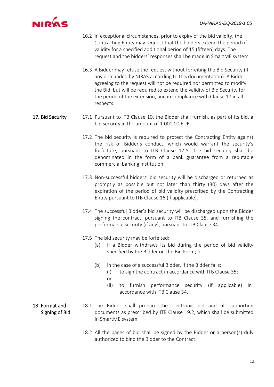

- 16.2 In exceptional circumstances, prior to expiry of the bid validity, the Contracting Entity may request that the bidders extend the period of validity for a specified additional period of 15 (fifteen) days. The request and the bidders' responses shall be made in SmartME system.
- 16.3 A Bidder may refuse the request without forfeiting the Bid Security (if any demanded by NIRAS according to this documentation). A Bidder agreeing to the request will not be required nor permitted to modify the Bid, but will be required to extend the validity of Bid Security for the period of the extension, and in compliance with Clause 17 in all respects.
- 17. Bid Security 17.1 Pursuant to ITB Clause 10, the Bidder shall furnish, as part of its bid, a bid security in the amount of 1 000,00 EUR.
	- 17.2 The bid security is required to protect the Contracting Entity against the risk of Bidder's conduct, which would warrant the security's forfeiture, pursuant to ITB Clause 17.5. The bid security shall be denominated in the form of a bank guarantee from a reputable commercial banking institution.
	- 17.3 Non-successful bidders' bid security will be discharged or returned as promptly as possible but not later than thirty (30) days after the expiration of the period of bid validity prescribed by the Contracting Entity pursuant to ITB Clause 16 (if applicable).
	- 17.4 The successful Bidder's bid security will be discharged upon the Bidder signing the contract, pursuant to ITB Clause 35, and furnishing the performance security (if any), pursuant to ITB Clause 34.
	- 17.5 The bid security may be forfeited:
		- (a) if a Bidder withdraws its bid during the period of bid validity specified by the Bidder on the Bid Form; or
		- (b) in the case of a successful Bidder, if the Bidder fails:
			- (i) to sign the contract in accordance with ITB Clause 35;
			- or
			- (ii) to furnish performance security (if applicable) in accordance with ITB Clause 34.
- 18 Format and Signing of Bid 18.1 The Bidder shall prepare the electronic bid and all supporting documents as prescribed by ITB Clause 19.2, which shall be submitted in SmartME system.
	- 18.2 All the pages of bid shall be signed by the Bidder or a person(s) duly authorized to bind the Bidder to the Contract.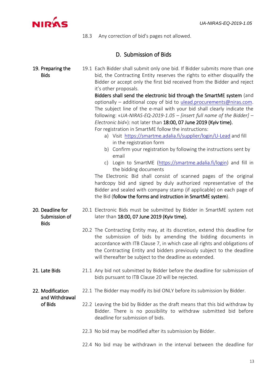<span id="page-12-0"></span>

18.3 Any correction of bid's pages not allowed.

# D. Submission of Bids

| 19. Preparing the<br><b>Bids</b>                 | 19.1 Each Bidder shall submit only one bid. If Bidder submits more than one<br>bid, the Contracting Entity reserves the rights to either disqualify the<br>Bidder or accept only the first bid received from the Bidder and reject<br>it's other proposals.<br>Bidders shall send the electronic bid through the SmartME system (and<br>optionally - additional copy of bid to ulead.procurements@niras.com.<br>The subject line of the e-mail with your bid shall clearly indicate the<br>following: «UA-NIRAS-EQ-2019-1.05 - finsert full name of the Bidder] -<br>Electronic bid»): not later than 18:00, 07 June 2019 (Kyiv time).<br>For registration in SmartME follow the instructions:<br>a) Visit https://smartme.adalia.fi/supplier/login/U-Lead and fill<br>in the registration form<br>b) Confirm your registration by following the instructions sent by<br>email<br>c) Login to SmartME (https://smartme.adalia.fi/login) and fill in<br>the bidding documents<br>The Electronic Bid shall consist of scanned pages of the original<br>hardcopy bid and signed by duly authorized representative of the<br>Bidder and sealed with company stamp (if applicable) on each page of<br>the Bid (follow the forms and instruction in SmartME system). |  |
|--------------------------------------------------|----------------------------------------------------------------------------------------------------------------------------------------------------------------------------------------------------------------------------------------------------------------------------------------------------------------------------------------------------------------------------------------------------------------------------------------------------------------------------------------------------------------------------------------------------------------------------------------------------------------------------------------------------------------------------------------------------------------------------------------------------------------------------------------------------------------------------------------------------------------------------------------------------------------------------------------------------------------------------------------------------------------------------------------------------------------------------------------------------------------------------------------------------------------------------------------------------------------------------------------------------------------|--|
| 20. Deadline for<br>Submission of<br><b>Bids</b> | 20.1 Electronic Bids must be submitted by Bidder in SmartME system not<br>later than 18:00, 07 June 2019 (Kyiv time).                                                                                                                                                                                                                                                                                                                                                                                                                                                                                                                                                                                                                                                                                                                                                                                                                                                                                                                                                                                                                                                                                                                                          |  |
|                                                  | 20.2 The Contracting Entity may, at its discretion, extend this deadline for<br>the submission of bids by amending the bidding documents in<br>accordance with ITB Clause 7, in which case all rights and obligations of<br>the Contracting Entity and bidders previously subject to the deadline<br>will thereafter be subject to the deadline as extended.                                                                                                                                                                                                                                                                                                                                                                                                                                                                                                                                                                                                                                                                                                                                                                                                                                                                                                   |  |
| 21. Late Bids                                    | 21.1 Any bid not submitted by Bidder before the deadline for submission of<br>bids pursuant to ITB Clause 20 will be rejected.                                                                                                                                                                                                                                                                                                                                                                                                                                                                                                                                                                                                                                                                                                                                                                                                                                                                                                                                                                                                                                                                                                                                 |  |
| 22. Modification<br>and Withdrawal               | 22.1 The Bidder may modify its bid ONLY before its submission by Bidder.                                                                                                                                                                                                                                                                                                                                                                                                                                                                                                                                                                                                                                                                                                                                                                                                                                                                                                                                                                                                                                                                                                                                                                                       |  |
| of Bids                                          | 22.2 Leaving the bid by Bidder as the draft means that this bid withdraw by<br>Bidder. There is no possibility to withdraw submitted bid before<br>deadline for submission of bids.                                                                                                                                                                                                                                                                                                                                                                                                                                                                                                                                                                                                                                                                                                                                                                                                                                                                                                                                                                                                                                                                            |  |
|                                                  | 22.3 No bid may be modified after its submission by Bidder.                                                                                                                                                                                                                                                                                                                                                                                                                                                                                                                                                                                                                                                                                                                                                                                                                                                                                                                                                                                                                                                                                                                                                                                                    |  |
|                                                  | 22.4 No bid may be withdrawn in the interval between the deadline for                                                                                                                                                                                                                                                                                                                                                                                                                                                                                                                                                                                                                                                                                                                                                                                                                                                                                                                                                                                                                                                                                                                                                                                          |  |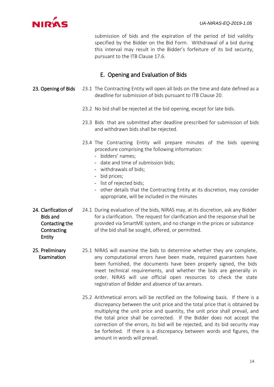

submission of bids and the expiration of the period of bid validity specified by the Bidder on the Bid Form. Withdrawal of a bid during this interval may result in the Bidder's forfeiture of its bid security, pursuant to the ITB Clause 17.6.

## E. Opening and Evaluation of Bids

- <span id="page-13-0"></span>23. Opening of Bids 23.1 The Contracting Entity will open all bids on the time and date defined as a deadline for submission of bids pursuant to ITB Clause 20.
	- 23.2 No bid shall be rejected at the bid opening, except for late bids.
	- 23.3 Bids that are submitted after deadline prescribed for submission of bids and withdrawn bids shall be rejected.
	- 23.4 The Contracting Entity will prepare minutes of the bids opening procedure comprising the following information:
		- bidders' names;
		- date and time of submission bids;
		- withdrawals of bids;
		- bid prices;
		- list of rejected bids;
		- other details that the Contracting Entity at its discretion, may consider appropriate, will be included in the minutes
- 24. Clarification of Bids and Contacting the **Contracting** Entity
- 24.1 During evaluation of the bids, NIRAS may, at its discretion, ask any Bidder for a clarification. The request for clarification and the response shall be provided via SmartME system, and no change in the prices or substance of the bid shall be sought, offered, or permitted.
- 25. Preliminary Examination 25.1 NIRAS will examine the bids to determine whether they are complete, any computational errors have been made, required guarantees have been furnished, the documents have been properly signed, the bids meet technical requirements, and whether the bids are generally in order. NIRAS will use official open resources to check the state registration of Bidder and absence of tax arrears.
	- 25.2 Arithmetical errors will be rectified on the following basis. If there is a discrepancy between the unit price and the total price that is obtained by multiplying the unit price and quantity, the unit price shall prevail, and the total price shall be corrected. If the Bidder does not accept the correction of the errors, its bid will be rejected, and its bid security may be forfeited. If there is a discrepancy between words and figures, the amount in words will prevail.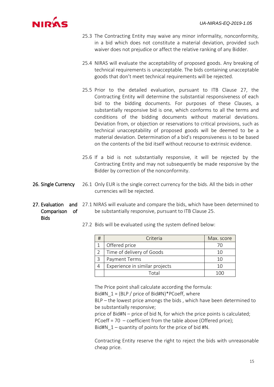

- 25.3 The Contracting Entity may waive any minor informality, nonconformity, in a bid which does not constitute a material deviation, provided such waiver does not prejudice or affect the relative ranking of any Bidder.
- 25.4 NIRAS will evaluate the acceptability of proposed goods. Any breaking of technical requirements is unacceptable. The bids containing unacceptable goods that don't meet technical requirements will be rejected.
- 25.5 Prior to the detailed evaluation, pursuant to ITB Clause 27, the Contracting Entity will determine the substantial responsiveness of each bid to the bidding documents. For purposes of these Clauses, a substantially responsive bid is one, which conforms to all the terms and conditions of the bidding documents without material deviations. Deviation from, or objection or reservations to critical provisions, such as technical unacceptability of proposed goods will be deemed to be a material deviation. Determination of a bid's responsiveness is to be based on the contents of the bid itself without recourse to extrinsic evidence.
- 25.6 If a bid is not substantially responsive, it will be rejected by the Contracting Entity and may not subsequently be made responsive by the Bidder by correction of the nonconformity.
- 26. Single Currency 26.1 Only EUR is the single correct currency for the bids. All the bids in other currencies will be rejected.
- 27. Evaluation and 27.1 NIRAS will evaluate and compare the bids, which have been determined to Comparison of be substantially responsive, pursuant to ITB Clause 25.
	- Bids
- 27.2 Bids will be evaluated using the system defined below:

| Criteria                       | Max. score |
|--------------------------------|------------|
| Offered price                  |            |
| Time of delivery of Goods      | 10         |
| Payment Terms                  | 10         |
| Experience in similar projects | 10         |
| Total                          |            |

The Price point shall calculate according the formula:

Bid#N\_1 = (BLP / price of Bid#N)\*PCoeff, where

BLP – the lowest price amongs the bids , which have been determined to be substantially responsive;

price of Bid#N – price of bid N, for which the price points is calculated; PCoeff = 70 - coefficient from the table above (Offered price); Bid#N  $1$  – quantity of points for the price of bid #N.

Contracting Entity reserve the right to reject the bids with unreasonable cheap price.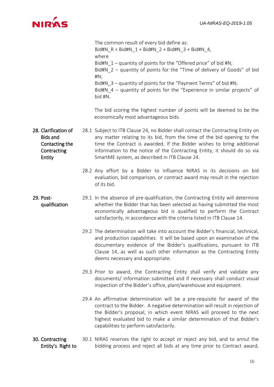

|                                                                                           | The common result of every bid define as:<br>Bid#N_R = Bid#N_1 + Bid#N_2 + Bid#N_3 + Bid#N_4,<br>where<br>Bid#N $1$ – quantity of points for the "Offered price" of bid #N;<br>Bid#N_2 - quantity of points for the "Time of delivery of Goods" of bid<br>$H N$ ;<br>Bid#N 3 - quantity of points for the "Payment Terms" of bid #N;<br>Bid#N $4$ – quantity of points for the "Experience in similar projects" of<br>bid #N.<br>The bid scoring the highest number of points will be deemed to be the<br>economically most advantageous bids. |
|-------------------------------------------------------------------------------------------|------------------------------------------------------------------------------------------------------------------------------------------------------------------------------------------------------------------------------------------------------------------------------------------------------------------------------------------------------------------------------------------------------------------------------------------------------------------------------------------------------------------------------------------------|
| 28. Clarification of<br><b>Bids and</b><br>Contacting the<br>Contracting<br><b>Entity</b> | 28.1 Subject to ITB Clause 24, no Bidder shall contact the Contracting Entity on<br>any matter relating to its bid, from the time of the bid opening to the<br>time the Contract is awarded. If the Bidder wishes to bring additional<br>information to the notice of the Contracting Entity, it should do so via<br>SmartME system, as described in ITB Clause 24.                                                                                                                                                                            |
|                                                                                           | 28.2 Any effort by a Bidder to influence NIRAS in its decisions on bid<br>evaluation, bid comparison, or contract award may result in the rejection<br>of its bid.                                                                                                                                                                                                                                                                                                                                                                             |
| 29. Post-<br>qualification                                                                | 29.1 In the absence of pre-qualification, the Contracting Entity will determine<br>whether the Bidder that has been selected as having submitted the most<br>economically advantageous bid is qualified to perform the Contract<br>satisfactorily, in accordance with the criteria listed in ITB Clause 14.                                                                                                                                                                                                                                    |
|                                                                                           | 29.2 The determination will take into account the Bidder's financial, technical,<br>and production capabilities. It will be based upon an examination of the<br>documentary evidence of the Bidder's qualifications, pursuant to ITB<br>Clause 14, as well as such other information as the Contracting Entity<br>deems necessary and appropriate.                                                                                                                                                                                             |
|                                                                                           | 29.3 Prior to award, the Contracting Entity shall verify and validate any<br>documents/ information submitted and if necessary shall conduct visual<br>inspection of the Bidder's office, plant/warehouse and equipment.                                                                                                                                                                                                                                                                                                                       |
|                                                                                           | 29.4 An affirmative determination will be a pre-requisite for award of the<br>contract to the Bidder. A negative determination will result in rejection of<br>the Bidder's proposal, in which event NIRAS will proceed to the next<br>highest evaluated bid to make a similar determination of that Bidder's<br>capabilities to perform satisfactorily.                                                                                                                                                                                        |
| 30. Contracting<br>Entity's Right to                                                      | 30.1 NIRAS reserves the right to accept or reject any bid, and to annul the<br>bidding process and reject all bids at any time prior to Contract award,                                                                                                                                                                                                                                                                                                                                                                                        |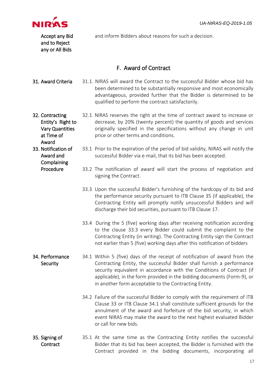

<span id="page-16-0"></span>Accept any Bid and to Reject any or All Bids and inform Bidders about reasons for such a decision. F. Award of Contract **31. Award Criteria** 31.1. NIRAS will award the Contract to the successful Bidder whose bid has been determined to be substantially responsive and most economically

qualified to perform the contract satisfactorily. 32. Contracting Entity's Right to 32.1 NIRAS reserves the right at the time of contract award to increase or decrease, by 20% (twenty percent) the quantity of goods and services originally specified in the specifications without any change in unit

price or other terms and conditions.

Vary Quantities at Time of Award 33. Notification of

> Award and Complaining Procedure

33.1 Prior to the expiration of the period of bid validity, NIRAS will notify the successful Bidder via e-mail, that its bid has been accepted.

advantageous, provided further that the Bidder is determined to be

- 33.2 The notification of award will start the process of negotiation and signing the Contract.
- 33.3 Upon the successful Bidder's furnishing of the hardcopy of its bid and the performance security pursuant to ITB Clause 35 (if applicable), the Contracting Entity will promptly notify unsuccessful Bidders and will discharge their bid securities, pursuant to ITB Clause 17.
- 33.4 During the 5 (five) working days after receiving notification according to the clause 33.3 every Bidder could submit the complaint to the Contracting Entity (in writing). The Contracting Entity sign the Contract not earlier than 5 (five) working days after this notification of bidders
- 34. Performance **Security** 34.1 Within 5 (five) days of the receipt of notification of award from the Contracting Entity, the successful Bidder shall furnish a performance security equivalent in accordance with the Conditions of Contract (if applicable), in the form provided in the bidding documents (Form-9), or in another form acceptable to the Contracting Entity.
	- 34.2 Failure of the successful Bidder to comply with the requirement of ITB Clause 33 or ITB Clause 34.1 shall constitute sufficient grounds for the annulment of the award and forfeiture of the bid security, in which event NIRAS may make the award to the next highest evaluated Bidder or call for new bids.
- 35. Signing of **Contract** 35.1 At the same time as the Contracting Entity notifies the successful Bidder that its bid has been accepted, the Bidder is furnished with the Contract provided in the bidding documents, incorporating all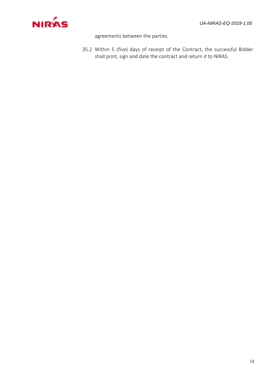

agreements between the parties.

35.2 Within 5 (five) days of receipt of the Contract, the successful Bidder shall print, sign and date the contract and return it to NIRAS.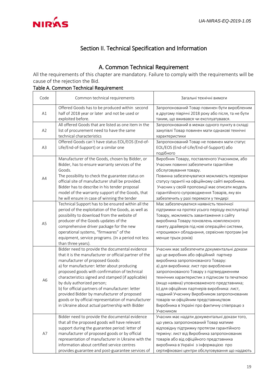<span id="page-18-0"></span>

# Section II. Technical Specification and Information

# A. Common Technical Requirement

<span id="page-18-1"></span>All the requirements of this chapter are mandatory. Failure to comply with the requirements will be cause of the rejection the Bid.

#### Table A. Common Technical Requirement

| Code           | Common technical requirements                                                                                                                                                                                                                                                                                                                                                                                                                                                                                                                | Загальні технічні вимоги                                                                                                                                                                                                                                                                                                                                                                                                                                                                                        |
|----------------|----------------------------------------------------------------------------------------------------------------------------------------------------------------------------------------------------------------------------------------------------------------------------------------------------------------------------------------------------------------------------------------------------------------------------------------------------------------------------------------------------------------------------------------------|-----------------------------------------------------------------------------------------------------------------------------------------------------------------------------------------------------------------------------------------------------------------------------------------------------------------------------------------------------------------------------------------------------------------------------------------------------------------------------------------------------------------|
| A1             | Offered Goods has to be produced within second<br>half of 2018 year or later and not be used or<br>exploited before.                                                                                                                                                                                                                                                                                                                                                                                                                         | Запропонований Товар повинен бути виробленим<br>в другому півріччі 2018 року або після, та не бути<br>таким, що вживався чи експлуатувався.                                                                                                                                                                                                                                                                                                                                                                     |
| A2             | All offered Goods that are listed as one item in the<br>list of procurement need to have the same<br>technical characteristics                                                                                                                                                                                                                                                                                                                                                                                                               | Запропонований в межах одного пункту в складі<br>закупівлі Товар повинен мати однакові технічні<br>характеристики                                                                                                                                                                                                                                                                                                                                                                                               |
| A <sub>3</sub> | Offered Goods can't have status EOL/EOS (End-of-<br>Life/End-of-Support) or a similar one                                                                                                                                                                                                                                                                                                                                                                                                                                                    | Запропонований Товар не повинен мати статус<br>EOL/EOS (End-of-Life/End-of-Support) abo<br>подібного                                                                                                                                                                                                                                                                                                                                                                                                            |
| A4             | Manufacturer of the Goods, chosen by Bidder, or<br>Bidder, has to ensure warranty services of the<br>Goods.<br>The possibility to check the guarantee status on<br>official site of manufacturer shall be provided.<br>Bidder has to describe in his tender proposal<br>model of the warranty support of the Goods, that<br>he will ensure in case of winning the tender                                                                                                                                                                     | Виробник Товару, поставленого Учасником, або<br>Учасник повинні забезпечити гарантійне<br>обслуговування товару.<br>Повинна забезпечуватися можливість перевірки<br>статусу гарантії на офіційному сайті виробника.<br>Учасник у своїй пропозиції має описати модель<br>гарантійного супроводження Товарів, яку він<br>забезпечить у разі перемоги у тендері                                                                                                                                                    |
| A <sub>5</sub> | Technical Support has to be ensured within all the<br>period of the exploitation of the Goods, as well as<br>possibility to download from the website of<br>producer of the Goods updates of the<br>comprehensive driver package for the new<br>operational systems, "firmwares" of the<br>equipment, service programs. (In a period not less<br>than three years).                                                                                                                                                                          | Має забезпечуватися наявність технічної<br>підтримки на протязі усього періоду експлуатації<br>Товару, можливість завантаження з сайту<br>виробника Товару поновлень комплексного<br>пакету драйверів під нові операційні системи,<br>«прошивок» обладнання, сервісних програм (не<br>менше трьох років)                                                                                                                                                                                                        |
| A <sub>6</sub> | Bidder need to provide the documental evidence<br>that it is the manufacturer or official partner of the<br>manufacturer of proposed Goods:<br>a) for manufacturer: letter about producing<br>proposed goods with confirmation of technical<br>characteristics signed and stamped (if applicable)<br>by duly authorized person;<br>b) for official partners of manufacturer: letter<br>provided Bidder by manufacturer of proposed<br>goods or by official representation of manufacturer<br>in Ukraine about actual partnership with Bidder | Учасник має забезпечити документальні докази<br>що це виробник або офіційний партнер<br>виробника запропонованого Товару:<br>а) для виробника: лист про вироблення<br>запропонованого Товару з підтвердженням<br>технічних характеристик з підписом та печаткою<br>(якщо наявна) уповноваженого представника;<br>b) для офіційних партнерів виробника: лист,<br>наданий Учаснику Виробником запропонованих<br>товарів чи офіційним представництвом<br>Виробника в Україні про фактичну співпрацю з<br>Учасником |
| A7             | Bidder need to provide the documental evidence<br>that all the proposed goods will have relevant<br>support during the guarantee period: letter of<br>manufacturer of proposed goods or by official<br>representation of manufacturer in Ukraine with the<br>information about certified service centres<br>provides guarantee and post-guarantee services of                                                                                                                                                                                | Учасник має надати документальні докази того,<br>що увесь запропонований Товар матиме<br>відповідну підтримку протягом гарантійного<br>терміну: лист від Виробника запропонованих<br>товарів або від офіційного представника<br>виробника в Україні з інформацією про<br>сертифіковані центри обслуговування що надають                                                                                                                                                                                         |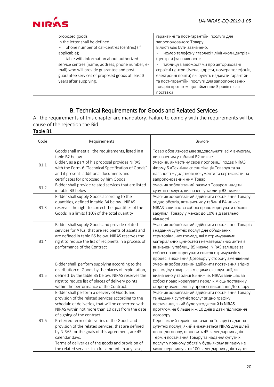

| proposed goods.<br>In the letter shall be defined:<br>phone number of call-centres (centres) (if<br>applicable);<br>table with information about authorized<br>service centres (name, address, phone number, e- | гарантійні та пост-гарантійні послуги для<br>запропонованого Товару.<br>В листі має бути зазначено:<br>номер телефону «гарячої» лінії «кол-центрів»<br>(центрів) (за наявності);<br>таблиця з відомостями про авторизовані |
|-----------------------------------------------------------------------------------------------------------------------------------------------------------------------------------------------------------------|----------------------------------------------------------------------------------------------------------------------------------------------------------------------------------------------------------------------------|
| mail) who will provide guarantee and post-<br>guarantee services of proposed goods at least 3<br>years after supplying.                                                                                         | сервісні центри (імена, адреси, номера телефонів,<br>електронні пошти) які будуть надавати гарантійні<br>та пост-гарантійні послуги для запропонованих<br>товарів протягом щонайменше 3 років після                        |
|                                                                                                                                                                                                                 | поставки                                                                                                                                                                                                                   |

# B. Technical Requirements for Goods and Related Services

<span id="page-19-0"></span>All the requirements of this chapter are mandatory. Failure to comply with the requirements will be cause of the rejection the Bid.

| Code        | Requirements                                                                                                                                                                                                                                                                                                                                                                                                                                                                                                                           | Вимоги                                                                                                                                                                                                                                                                                                                                                                                                                                                                                                                  |  |
|-------------|----------------------------------------------------------------------------------------------------------------------------------------------------------------------------------------------------------------------------------------------------------------------------------------------------------------------------------------------------------------------------------------------------------------------------------------------------------------------------------------------------------------------------------------|-------------------------------------------------------------------------------------------------------------------------------------------------------------------------------------------------------------------------------------------------------------------------------------------------------------------------------------------------------------------------------------------------------------------------------------------------------------------------------------------------------------------------|--|
| B1.1        | Goods shall meet all the requirements, listed in a<br>table B2 below.<br>Bidder, as a part of his proposal provides NIRAS<br>with the Form-6 "Technical Specification of Goods"<br>and if present- additional documents and<br>certificates for proposed by him Goods                                                                                                                                                                                                                                                                  | Товар обов'язково має задовольняти всім вимогам,<br>визначеним у таблиці В2 нижче.<br>Учасник, як частину своєї пропозиції подає NIRAS<br>Форму 6 «Технічна специфікація Товару» та за<br>наявності – додаткові документи та сертифікати на<br>запропонований ним Товар                                                                                                                                                                                                                                                 |  |
| B1.2        | Bidder shall provide related services that are listed<br>in table B3 below                                                                                                                                                                                                                                                                                                                                                                                                                                                             | Учасник зобов'язаний разом з Товаром надати<br>супутні послуги, визначені у таблиці ВЗ нижче                                                                                                                                                                                                                                                                                                                                                                                                                            |  |
| <b>B1.3</b> | Bidder shall supply Goods according to the<br>quantities, defined in table B4 below. NIRAS<br>reserves the right to correct the quantities of the<br>Goods in a limits f 10% of the total quantity                                                                                                                                                                                                                                                                                                                                     | Учасник зобов'язаний здійснити постачання Товару<br>згідно обсягів, визначених у таблиці В4 нижче.<br>NIRAS залишає за собою право корегувати обсяги<br>закупівлі Товару у межах до 10% від загальної<br>кількості                                                                                                                                                                                                                                                                                                      |  |
| <b>B1.4</b> | Bidder shall supply Goods and provide related<br>services for ATCs, that are recipients of assets and<br>are defined in table B5 below. NIRAS reserves the<br>right to reduce the list of recipients in a process of<br>performance of the Contract                                                                                                                                                                                                                                                                                    | Учасник зобов'язаний здійснити постачання Товарів<br>і надання супутніх послуг для об'єднаних<br>територіальних громад, які є отримувачами<br>матеріальних цінностей і нематеріальних активів і<br>визначені у таблиці B5 нижче. NIRAS залишає за<br>собою право корегувати список отримувачів у<br>процесі виконання Договору у сторону зменшення                                                                                                                                                                      |  |
| <b>B1.5</b> | Bidder shall perform supplying according to the<br>distribution of Goods by the places of exploitation,<br>defined by the table B5 below. NIRAS reserves the<br>right to reduce list of places of delivery points<br>within the performance of the Contract.                                                                                                                                                                                                                                                                           | Учасник зобов'язаний здійснити постачання згідно<br>розподілу товарів за місцями експлуатації, як<br>визначено у таблиці В5 нижче. NIRAS залишає за<br>собою право корегувати перелік місць поставки у<br>сторону зменшення у процесі виконання Договору                                                                                                                                                                                                                                                                |  |
| <b>B1.6</b> | Bidder shall perform a delivery of Goods and<br>provision of the related services according to the<br>schedule of deliveries, that will be concerted with<br>NIRAS within not more than 10 days from the date<br>of signing of the contract.<br>Preferred term of deliveries of the Goods and<br>provision of the related services, that are defined<br>by NIRAS for the goals of this agreement, are 45<br>calendar days.<br>Terms of deliveries of the goods and provision of<br>the related services in a full amount, in any case, | Учасник зобов'язаний здійснити постачання Товару<br>та надання супутніх послуг згідно графіку<br>постачання, який буде узгоджений із NIRAS<br>протягом не більше ніж 10 днів з дати підписання<br>договору.<br>Переважний термін постачання Товару і надання<br>супутніх послуг, який визначається NIRAS для цілей<br>цього договору, становить 45 календарних днів<br>Термін постачання Товару та надання супутніх<br>послуг у повному обсязі у будь-якому випадку не<br>може перевищувати 100 календарних днів з дати |  |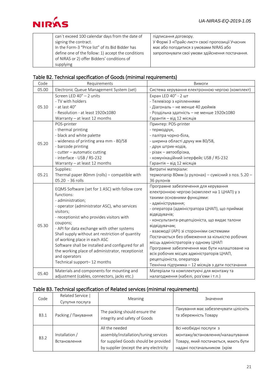

| запропонувати свої умови здійснення постачання. |
|-------------------------------------------------|
|                                                 |
|                                                 |
|                                                 |

|  | Table B2. Technical specification of Goods (minimal requirements) |  |  |  |  |
|--|-------------------------------------------------------------------|--|--|--|--|
|--|-------------------------------------------------------------------|--|--|--|--|

| Code  | Requirements                                                                                                     | Вимоги                                               |
|-------|------------------------------------------------------------------------------------------------------------------|------------------------------------------------------|
| 05.00 | Electronic Queue Management System (set)                                                                         | Система керування електронною чергою (комплект)      |
|       | Screen LED 40" - 2 units                                                                                         | Екран LED 40" - 2 шт                                 |
|       | - TV with holders                                                                                                | - Телевізор з кріпленнями                            |
| 05.10 | - at last 40"                                                                                                    | - Діагональ - не менше 40 дюймів                     |
|       | - Resolution - at least 1920x1080                                                                                | - Роздільна здатність - не менше 1920х1080           |
|       | Warranty - at least 12 months                                                                                    | Гарантія - від 12 місяців                            |
|       | POS-printer                                                                                                      | Принтер: POS-printer                                 |
|       | - thermal printing                                                                                               | - термодрук,                                         |
|       | - black and white palette                                                                                        | - палітра чорно-біла,                                |
| 05.20 | - wideness of printing area mm - 80/58                                                                           | - ширина області друку мм 80/58,                     |
|       | - barcode printing                                                                                               | - друк штрих-кодів,                                  |
|       | - cutter - automatic cutting                                                                                     | - різак - автообрізка,                               |
|       | - interface - USB / RS-232                                                                                       | - комунікаційний інтерфейс USB / RS-232              |
|       | Warranty - at least 12 months                                                                                    | Гарантія - від 12 місяців                            |
|       | Supplies:                                                                                                        | Витратні матеріали:                                  |
| 05.21 | Thermal paper 80mm (rolls) - compatible with                                                                     | термопапір 80мм (у рулонах) – сумісний з поз. 5.20 – |
|       | 05.20 - 36 rolls                                                                                                 | 36 рулонів                                           |
|       | EQMS Software (set for 1 ASC) with follow core                                                                   | Програмне забезпечення для керування                 |
|       | functions:                                                                                                       | електронною чергою (комплект на 1 ЦНАП) у з          |
|       | - administration;                                                                                                | такими основними функціями:                          |
|       | - operator (administrator ASC), who services                                                                     | - адміністрування;                                   |
|       | visitors;<br>- receptionist who provides visitors with<br>coupons;<br>- API for data exchange with other systems | - оператора (адміністратора ЦНАП), що приймає        |
|       |                                                                                                                  | відвідувачів;                                        |
|       |                                                                                                                  | - консультанта-рецепціоніста, що видає талони        |
| 05.30 |                                                                                                                  | відвідувачам;                                        |
|       | Shall supply without ant restriction of quantity                                                                 | - взаємодії (АРІ) зі сторонніми системами            |
|       | of working place in each ASC<br>Software shall be installed and configured for all                               | Постачається без обмеження за кількістю робочих      |
|       |                                                                                                                  | місць адміністраторів у одному ЦНАП                  |
|       | the working place of administrator, receptionist                                                                 | Програмне забезпечення має бути налаштоване на       |
|       | and operators<br>Technical support-12 months                                                                     | всіх робочих місцях адміністраторів ЦНАП,            |
|       |                                                                                                                  | рецепціоніста, оператора                             |
|       |                                                                                                                  | Технічна підтримка - 12 місяців з дати постачання    |
| 05.40 | Materials and components for mounting and                                                                        | Матеріали та комплектуючі для монтажу та             |
|       | adjustment (cables, connectors, jacks etc.)                                                                      | налагодження (кабелі, роз'єми і т.п.)                |

# Table B3. Technical specification of Related services (minimal requirements)

| Code             | Related Service  <br>Супутня послуга | <b>Meaning</b>                                                                                                                              | Значення                                                                                                                             |
|------------------|--------------------------------------|---------------------------------------------------------------------------------------------------------------------------------------------|--------------------------------------------------------------------------------------------------------------------------------------|
| <b>B3.1</b>      | Packing / Пакування                  | The packing should ensure the<br>integrity and safety of Goods                                                                              | Пакування має забезпечувати цілісніть<br>та збережність Товару                                                                       |
| B <sub>3.2</sub> | Installation /<br>Встановлення       | All the needed<br>assembly/installation/tuning services<br>for supplied Goods should be provided<br>by supplier (except the any electricity | Всі необхідні послуги з<br>монтажу/встановлення/налаштування<br>Товару, який постачається, мають бути<br>надані постачальником (крім |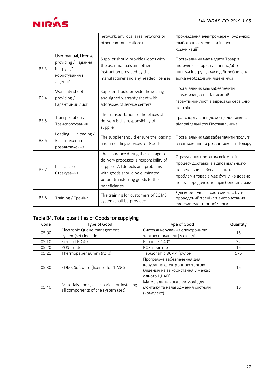

|             |                                                                                         | network, any local area networks or<br>other communications)                                                                                                                                                    | прокладання електромереж, будь-яких<br>слаботочних мереж та інших<br>комунікацій)                                                                                                         |
|-------------|-----------------------------------------------------------------------------------------|-----------------------------------------------------------------------------------------------------------------------------------------------------------------------------------------------------------------|-------------------------------------------------------------------------------------------------------------------------------------------------------------------------------------------|
| <b>B3.3</b> | User manual, License<br>providing / Надання<br>інструкції<br>користування і<br>ліцензій | Supplier should provide Goods with<br>the user manuals and other<br>instruction provided by the<br>manufacturer and any needed licenses                                                                         | Постачальник має надати Товар з<br>інструкцією користування та/або<br>іншими інструкціями від Виробника та<br>всіма необхідними ліцензіями                                                |
| <b>B3.4</b> | Warranty sheet<br>providing/<br>Гарантійний лист                                        | Supplier should provide the sealing<br>and signed warranty sheet with<br>addresses of service centers                                                                                                           | Постачальник має забезпечити<br>герметизацію та підписаний<br>гарантійний лист з адресами сервісних<br>центрів                                                                            |
| <b>B3.5</b> | Transportation /<br>Транспортування                                                     | The transportation to the places of<br>delivery is the responsibility of<br>supplier                                                                                                                            | Транспортування до місць доставки є<br>відповідальністю Постачальника                                                                                                                     |
| B3.6        | Loading - Unloading /<br>Завантаження -<br>розвантаження                                | The supplier should ensure the loading<br>and unloading services for Goods                                                                                                                                      | Постачальник має забезпечити послуги<br>завантаження та розвантаження Товару                                                                                                              |
| B3.7        | Insurance /<br>Страхування                                                              | The insurance during the all stages of<br>delivery processes is responsibility of<br>supplier. All defects and problems<br>with goods should be eliminated<br>before transferring goods to the<br>beneficiaries | Страхування протягом всіх етапів<br>процесу доставки є відповідальністю<br>постачальника. Всі дефекти та<br>проблеми товарів має бути ліквідовано<br>перед передачею товарів бенефіціарам |
| <b>B3.8</b> | Training / Тренінг                                                                      | The training for customers of EQMS<br>system shall be provided                                                                                                                                                  | Для користувачів системи має бути<br>проведений тренінг з використання<br>системи електронної черги                                                                                       |

#### Table B4. Total quantities of Goods for supplying

| Code  | Type of Good                                 | Type of Good                      | Quantity |
|-------|----------------------------------------------|-----------------------------------|----------|
| 05.00 | Electronic Queue management                  | Система керування електронною     |          |
|       | system(set) includes:                        | чергою (комплект) у складі:       | 16       |
| 05.10 | Screen LED 40"                               | Екран LED 40"                     | 32       |
| 05.20 | POS-printer                                  | POS-принтер                       | 16       |
| 05.21 | Thermopaper 80mm (rolls)                     | Термопапір 80мм (рулон)           | 576      |
|       | EQMS Software (license for 1 ASC)            | Програмне забезпечення для        |          |
| 05.30 |                                              | керування електронною чергою      | 16       |
|       |                                              | (ліцензія на використання у межах |          |
|       |                                              | одного ЦНАП)                      |          |
| 05.40 | Materials, tools, accessories for installing | Матеріали та комплектуючі для     |          |
|       | all components of the system (set)           | монтажу та налагодження системи   | 16       |
|       |                                              | (комплект)                        |          |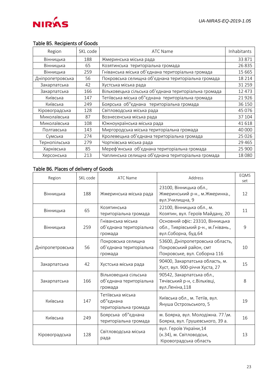

#### Table B5. Recipients of Goods

| Region           | SKL code | ATC Name                                              | Inhabitants |
|------------------|----------|-------------------------------------------------------|-------------|
| Вінницька        | 188      | Жмеринська міська рада                                | 33 871      |
| Вінницька        | 65       | Козятинська територіальна громада                     | 26835       |
| Вінницька        | 259      | Гніванська міська об'єднана територіальна громада     | 15 6 65     |
| Дніпропетровська | 56       | Покровська селищна об'єднана територіальна громада    | 18 2 14     |
| Закарпатська     | 42       | Хустська міська рада                                  | 31 259      |
| Закарпатська     | 166      | Вільховецька сільська об'єднана територіальна громада | 12 473      |
| Київська         | 147      | Тетіївська міська об"єднана територіальна громада     | 21926       |
| Київська         | 249      | Боярська об"єднана територіальна громада              | 36 150      |
| Кіровоградська   | 128      | Світловодська міська рада                             | 45 0 76     |
| Миколаївська     | 87       | Вознесенська міська рада                              | 37 104      |
| Миколаївська     | 108      | Южноукраїнська міська рада                            | 41618       |
| Полтавська       | 143      | Миргородська міська територіальна громада             | 40 000      |
| Сумська          | 274      | Кролевецька об'єднана територіальна громада           | 25 0 26     |
| Тернопільська    | 279      | Чортківська міська рада                               | 29 4 65     |
| Харківська       | 85       | Мереф'янська об'єднана територіальна громада          | 25 900      |
| Херсонська       | 213      | Чаплинська селищна об'єднана територіальна громада    | 18 0 8 0    |

#### Table B6. Places of delivery of Goods

| Region           | SKL code | <b>ATC Name</b>                                             | Address                                                                                          | <b>EQMS</b><br>set |
|------------------|----------|-------------------------------------------------------------|--------------------------------------------------------------------------------------------------|--------------------|
| Вінницька        | 188      | Жмеринська міська рада                                      | 23100, Вінницька обл.,<br>Жмеринський р-н., м. Жмеринка.,<br>вул. Училищна, 9                    | 12                 |
| Вінницька        | 65       | Козятинська<br>територіальна громада                        | 22100, Вінницька обл., м.<br>Козятин, вул. Героїв Майдану, 20                                    | 11                 |
| Вінницька        | 259      | Гніванська міська<br>об'єднана територіальна<br>громада     | Основний офіс: 23310, Вінницька<br>обл., Тиврівський р-н., м. Гнівань.,<br>вул. Соборна, буд. 64 | 9                  |
| Дніпропетровська | 56       | Покровська селищна<br>об'єднана територіальна<br>громада    | 53600, Дніпропетровська область,<br>Покровський район, смт<br>Покровське, вул. Соборна 116       | 10                 |
| Закарпатська     | 42       | Хустська міська рада                                        | 90400, Закарпатська область, м.<br>Хуст, вул. 900-річчя Хуста, 27                                | 15                 |
| Закарпатська     | 166      | Вільховецька сільська<br>об'єднана територіальна<br>громада | 90542, Закарпатська обл.,<br>Тячівський р-н, с. Вільхівці,<br>вул.Леніна,118                     | 8                  |
| Київська         | 147      | Тетіївська міська<br>об"єднана<br>територіальна громада     | Київська обл., м. Тетіїв, вул.<br>Януша Острозьського, 5                                         | 19                 |
| Київська         | 249      | Боярська об"єднана<br>територіальна громада                 | м. Боярка, вул. Молодіжна. 77. \м.<br>Боярка, вул. Грушевського, 39 а.                           | 16                 |
| Кіровоградська   | 128      | Світловодська міська<br>рада                                | вул. Героїв України, 14<br>(к.34), м. Світловодськ,<br>Кіровоградська область                    | 13                 |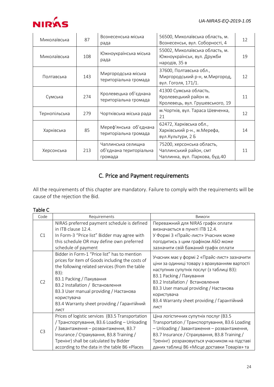

| Миколаївська  | 87  | Вознесенська міська<br>рада                              | 56500, Миколаївська область, м.<br>Вознесенськ, вул. Соборності, 4                     | 12 |
|---------------|-----|----------------------------------------------------------|----------------------------------------------------------------------------------------|----|
| Миколаївська  | 108 | Южноукраїнська міська<br>рада                            | 55002, Миколаївська область, м.<br>Южноукраїнськ, вул. Дружби<br>народів, 35 в         | 19 |
| Полтавська    | 143 | Миргородська міська<br>територіальна громада             | 37600, Полтавська обл.,<br>Миргородський р-н, м. Миргород,<br>вул. Гоголя, 171/1.      | 12 |
| Сумська       | 274 | Кролевецька об'єднана<br>територіальна громада           | 41300 Сумська область,<br>Кролевецький район м.<br>Кролевець, вул. Грушевського, 19    | 11 |
| Тернопільська | 279 | Чортківська міська рада                                  | м. Чортків, вул. Тараса Шевченка,<br>21                                                | 12 |
| Харківська    | 85  | Мереф'янська об'єднана<br>територіальна громада          | 62472, Харківська обл.,<br>Харківський р-н., м. Мерефа,<br>вул. Культури, 2 Б          | 14 |
| Херсонська    | 213 | Чаплинська селищна<br>об'єднана територіальна<br>громада | 75200, херсонська область,<br>Чаплинський район, смт<br>Чаплинка, вул. Паркова, буд.40 | 11 |

# C. Price and Payment requirements

<span id="page-23-0"></span>All the requirements of this chapter are mandatory. Failure to comply with the requirements will be cause of the rejection the Bid.

#### Table C

| Code           | Requirements                                                                                                                                                                                                                                                                                                                              | Вимоги                                                                                                                                                                                                                                                                                                                     |
|----------------|-------------------------------------------------------------------------------------------------------------------------------------------------------------------------------------------------------------------------------------------------------------------------------------------------------------------------------------------|----------------------------------------------------------------------------------------------------------------------------------------------------------------------------------------------------------------------------------------------------------------------------------------------------------------------------|
| C1             | NIRAS preferred payment schedule is defined<br>in ITB clause 12.4.<br>In Form-3 "Price list" Bidder may agree with<br>this schedule OR may define own preferred<br>schedule of payment                                                                                                                                                    | Переважний для NIRAS графік оплати<br>визначається в пункті ITB 12.4.<br>У Формі 3 «Прайс-лист» Учасник може<br>погодитись з цим графіком АБО може<br>зазначити свій бажаний графік оплати                                                                                                                                 |
| C <sub>2</sub> | Bidder in Form-1 "Price list" has to mention<br>prices for item of Goods including the costs of<br>the following related services (from the table<br>B3):<br>ВЗ.1 Packing / Пакування<br>ВЗ.2 Installation / Встановлення<br>ВЗ.3 User manual providing / Настанова<br>користувача<br>ВЗ.4 Warranty sheet providing / Гарантійний<br>ЛИСТ | Учасник має у формі 2 «Прайс-лист» зазначити<br>ціни за одиниці товару з врахуванням вартості<br>наступних супутніх послуг (з таблиці ВЗ):<br>ВЗ.1 Packing / Пакування<br>ВЗ.2 Installation / Встановлення<br>ВЗ.3 User manual providing / Настанова<br>користувача<br>ВЗ.4 Warranty sheet providing / Гарантійний<br>ЛИСТ |
| C <sub>3</sub> | Prices of logistic services (B3.5 Transportation<br>/ Транспортування, B3.6 Loading – Unloading<br>/Завантаження – розвантаження, ВЗ.7<br>Insurance / Страхування, ВЗ.8 Training /<br>Тренінг) shall be calculated by Bidder<br>according to the data in the table B6 «Places                                                             | Ціна логістичних супутніх послуг (ВЗ.5<br>Transportation / Транспортування, ВЗ.6 Loading<br>- Unloading / Завантаження - розвантаження,<br>ВЗ.7 Insurance / Страхування, ВЗ.8 Training /<br>Тренінг) розраховується учасником на підставі<br>даних таблиці В6 «Місце доставки Товарів» та                                  |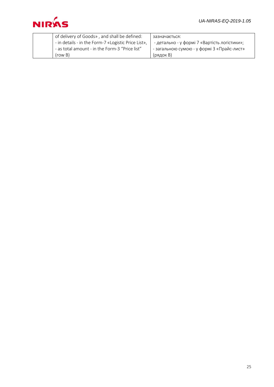

| of delivery of Goods», and shall be defined:        | зазначається:                                |
|-----------------------------------------------------|----------------------------------------------|
| - in details - in the Form-7 «Logistic Price List», | - детально - у формі 7 «Вартість логістики»; |
| - as total amount - in the Form-3 "Price list"      | - загальною сумою - у формі 3 «Прайс-лист»   |
| (row B)                                             | (рядок В)                                    |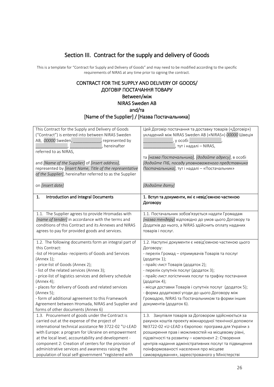# Section III. Contract for the supply and delivery of Goods

<span id="page-25-0"></span>This is a template for "Contract for Supply and Delivery of Goods" and may need to be modified according to the specific requirements of NIRAS at any time prior to signing the contract.

#### CONTRACT FOR THE SUPPLY AND DELIVERY OF GOODS/ ДОГОВІР ПОСТАЧАННЯ ТОВАРУ Between/між NIRAS Sweden AB and/та

[Name of the Supplier] / [Назва Постачальника]

| This Contract for the Supply and Delivery of Goods<br>("Contract") is entered into between NIRAS Sweden<br>AB, 00000 Sweden, _____________, represented by<br>hereinafter<br>referred to as NIRAS,<br>and [Name of the Supplier] of [insert address],<br>represented by [insert Name, Title of the representative<br>of the Supplier], hereinafter referred to as the Supplier                                                                                                                                              | Цей Договір постачання та доставку товарів («Договір»)<br>укладений між NIRAS Sweden AB («NIRAS») 00000 Швеція<br>$\begin{array}{c c} \hline \end{array}$ , у особі $\begin{array}{c} \hline \end{array}$ тут і надалі — NIRAS,<br>та [назва Постачальника], [додайте адресу], в особі<br>[додайте ПІБ, посаду уповноваженого представника<br>Постачальника], тут і надалі - «Постачальник»                                                                                               |
|-----------------------------------------------------------------------------------------------------------------------------------------------------------------------------------------------------------------------------------------------------------------------------------------------------------------------------------------------------------------------------------------------------------------------------------------------------------------------------------------------------------------------------|-------------------------------------------------------------------------------------------------------------------------------------------------------------------------------------------------------------------------------------------------------------------------------------------------------------------------------------------------------------------------------------------------------------------------------------------------------------------------------------------|
| on [insert date]                                                                                                                                                                                                                                                                                                                                                                                                                                                                                                            | [додайте дату]                                                                                                                                                                                                                                                                                                                                                                                                                                                                            |
| Introduction and Integral Documents                                                                                                                                                                                                                                                                                                                                                                                                                                                                                         | 1. Вступ та документи, які є невід'ємною частиною                                                                                                                                                                                                                                                                                                                                                                                                                                         |
| 1.                                                                                                                                                                                                                                                                                                                                                                                                                                                                                                                          | Договору                                                                                                                                                                                                                                                                                                                                                                                                                                                                                  |
| 1.1. The Supplier agrees to provide Hromadas with                                                                                                                                                                                                                                                                                                                                                                                                                                                                           | 1.1. Постачальник зобов'язується надати Громадам                                                                                                                                                                                                                                                                                                                                                                                                                                          |
| [name of tender] in accordance with the terms and                                                                                                                                                                                                                                                                                                                                                                                                                                                                           | [назва тендеру] відповідно до умов цього Договору та                                                                                                                                                                                                                                                                                                                                                                                                                                      |
| conditions of this Contract and its Annexes and NIRAS                                                                                                                                                                                                                                                                                                                                                                                                                                                                       | Додатків до нього, а NIRAS здійснить оплату наданих                                                                                                                                                                                                                                                                                                                                                                                                                                       |
| agrees to pay for provided goods and services.                                                                                                                                                                                                                                                                                                                                                                                                                                                                              | товарів і послуг.                                                                                                                                                                                                                                                                                                                                                                                                                                                                         |
| 1.2. The following documents form an integral part of<br>this Contract:<br>-list of Hromadas- recipients of Goods and Services<br>(Annex 1);<br>- price-list of Goods (Annex 2);<br>- list of the related services (Annex 3);<br>- price-list of logistics services and delivery schedule<br>(Annex 4);<br>- places for delivery of Goods and related services<br>(Annex 5);<br>- form of additional agreement to this Framework<br>Agreement between Hromada, NIRAS and Supplier and<br>forms of other documents (Annex 6) | 1.2. Наступні документи є невід'ємною частиною цього<br>Договору:<br>- перелік Громад - отримувачів Товарів та послуг<br>(додаток 1);<br>- прайс-лист Товарів (додаток 2);<br>- перелік супутніх послуг (додаток 3);<br>- прайс-лист логістичних послуг та графіку постачання<br>(додаток 4);<br>- місця доставки Товарів і супутніх послуг (додаток 5);<br>- форма додаткової угоди до цього Договору між<br>Громадою, NIRAS та Постачальником та форми інших<br>документів (додаток 6). |
| 1.3. Procurement of goods under the Contract is                                                                                                                                                                                                                                                                                                                                                                                                                                                                             | 1.3. Закупівля товарів за Договором здійснюється за                                                                                                                                                                                                                                                                                                                                                                                                                                       |
| carried out at the expense of the project of                                                                                                                                                                                                                                                                                                                                                                                                                                                                                | рахунок коштів проекту міжнародної технічної допомоги                                                                                                                                                                                                                                                                                                                                                                                                                                     |
| international technical assistance Nº 3722-02 "U-LEAD                                                                                                                                                                                                                                                                                                                                                                                                                                                                       | №3722-02 «U-LEAD з Європою: програма для України з                                                                                                                                                                                                                                                                                                                                                                                                                                        |
| with Europe: a program for Ukraine on empowerment                                                                                                                                                                                                                                                                                                                                                                                                                                                                           | розширення прав і можливостей на місцевому рівні,                                                                                                                                                                                                                                                                                                                                                                                                                                         |
| at the local level, accountability and development -                                                                                                                                                                                                                                                                                                                                                                                                                                                                        | підзвітності та розвитку - компонент 2: Створення                                                                                                                                                                                                                                                                                                                                                                                                                                         |
| component 2: Creation of centers for the provision of                                                                                                                                                                                                                                                                                                                                                                                                                                                                       | центрів надання адміністративних послуг та підвищення                                                                                                                                                                                                                                                                                                                                                                                                                                     |
| administrative services and awareness raising the                                                                                                                                                                                                                                                                                                                                                                                                                                                                           | поінформованості населення про місцеве                                                                                                                                                                                                                                                                                                                                                                                                                                                    |
| population of local self-government "registered with                                                                                                                                                                                                                                                                                                                                                                                                                                                                        | самоврядування», зареєстрованого у Міністерстві                                                                                                                                                                                                                                                                                                                                                                                                                                           |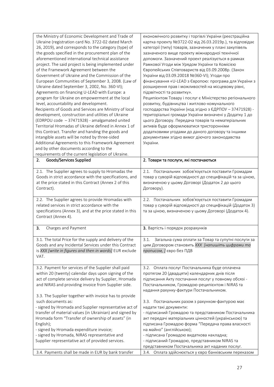| the Ministry of Economic Development and Trade of               | економічного розвитку і торгівлі України (реєстраційна     |
|-----------------------------------------------------------------|------------------------------------------------------------|
| Ukraine (registration card No. 3722-02 dated March              | картка проекту №3722-02 від 26.03.2019р.), та відповідає   |
| 26, 2019), and corresponds to the category (type) of            | категорії (типу) товарів, зазначених у плані закупівель    |
| the goods specified in the procurement plan of the              | зазначеного вище проекту міжнародної технічної             |
| aforementioned international technical assistance               | допомоги. Зазначений проект реалізується в рамках          |
| project. The said project is being implemented under            | Рамкової Угоди між Урядом України та Комісією              |
| of the Framework Agreement between the                          | Європейських Співтовариств від 03.09.2008р. (Закон         |
| Government of Ukraine and the Commission of the                 | України від 03.09.20018 №360-VI); Угоди про                |
| European Communities of September 3, 2008. (Law of              | фінансування «U-LEAD з Європою: програма для України з     |
| Ukraine dated September 3, 2002, No. 360-VI);                   | розширення прав і можливостей на місцевому рівні,          |
| Agreements on financing U-LEAD with Europe: a                   | підзвітності та розвитку».                                 |
| program for Ukraine on empowerment at the local                 | Реципієнтом Товару і послуг є Міністерство регіонального   |
| level, accountability and development.                          | розвитку, будівництва і житлово-комунального               |
| Recipients of Goods and Services are Ministry of local          | господарства України (код згідно з ЄДРПОУ - 37471928) -    |
| development, construction and utilities of Ukraine              | територіальні громади України визначені у Додатку 1 до     |
| (EDRPOU code - 37471928) - amalgamated united                   | цього Договору. Передача товарів та нематеріальних         |
| Territorial Hromadas of Ukraine defined in Annex 1 of           | активів буде оформлюватися тристоронніми                   |
| this Contract. Transfer and handing the goods and               | додатковими угодами до даного договору та іншими           |
| intangible assets will be noted by three-sided                  | документами згідно вимог діючого законодавства             |
| Additional Agreements to this Framework Agreement               | України.                                                   |
| and by other documents according to the                         |                                                            |
| requirements of the current legislation of Ukraine.             |                                                            |
| Goods/Services Supplied<br>2.                                   | 2. Товари та послуги, які постачаються                     |
|                                                                 |                                                            |
| 2.1. The Supplier agrees to supply to Hromadas the              | 2.1. Постачальник зобов'язується поставити Громадам        |
| Goods in strict accordance with the specifications, and         | товар у суворій відповідності до специфікацій та за ціною, |
| at the price stated in this Contract (Annex 2 of this           | визначеною у цьому Договорі (Додаток 2 до цього            |
| Contract).                                                      | Договору).                                                 |
|                                                                 |                                                            |
| 2.2. The Supplier agrees to provide Hromadas with               | 2.2. Постачальник зобов'язується поставити Громадам        |
|                                                                 |                                                            |
| related services in strict accordance with the                  | товар у суворій відповідності до специфікацій (Додаток 3)  |
| specifications (Annex 3), and at the price stated in this       | та за ціною, визначеною у цьому Договорі (Додаток 4).      |
| Contract (Annex 4).                                             |                                                            |
|                                                                 |                                                            |
| 3.<br>Charges and Payment                                       | 3. Вартість і порядок розрахунків                          |
|                                                                 |                                                            |
| 3.1. The total Price for the supply and delivery of the         | 3.1. Загальна сума оплати за Товар та супутні послуги за   |
| Goods and any Incidental Services under this Contract           | цим Договором становить XXX [напишіть цифрами та           |
| is XXX [write in figures and then in words] EUR exclude<br>VAT. | прописом, Јевро без ПДВ                                    |
|                                                                 |                                                            |
| 3.2. Payment for services of the Supplier shall paid            | 3.2. Оплата послуг Постачальника буде оплачена             |
| within 20 (twenty) calendar days upon signing of the            | протягом 20 (двадцяти) календарних днів після              |
| act of complete service delivery by Supplier, Hromada           | підписання Акту постачання послуг у повному обсязі -       |
| and NIRAS and providing invoice from Supplier side.             | Постачальником, Громадою-реципієнтом і NIRAS та            |
|                                                                 | надання рахунку-фактури Постачальником.                    |
| 3.3. The Supplier together with invoice has to provide          |                                                            |
| such documents as:                                              | 3.3. Постачальник разом з рахунком-фактурою має            |
| - signed by Hromada and Supplier representative act of          | надати такі документи:                                     |
| transfer of material values (in Ukrainian) and signed by        | - підписаний Громадою та представником Постачальника       |
| Hromada form "Transfer of ownership of assets" (in              | акт передачі матеріальних цінностей (українською) та       |
| English);                                                       | підписана Громадою форма "Передача права власності         |
| - signed by Hromada expenditure invoice;                        | на майно" (англійською);                                   |
| - signed by Hromada, NIRAS representative and                   | - підписана Громадою видаткова накладна;                   |
| Supplier representative act of provided services.               | - підписаний Громадою, представником NIRAS та              |
|                                                                 | представником Постачальника акт наданих послуг.            |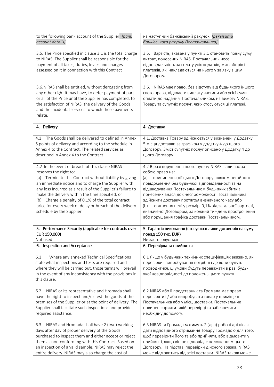| to the following bank account of the Supplier: [bank]<br>account details].                                                                                                                                                                                                                                                                                                                                                                                 | на наступний банківський рахунок: [реквізити<br>банківського рахунку Постачальника].                                                                                                                                                                                                                                                                                                                                                                                                                                     |
|------------------------------------------------------------------------------------------------------------------------------------------------------------------------------------------------------------------------------------------------------------------------------------------------------------------------------------------------------------------------------------------------------------------------------------------------------------|--------------------------------------------------------------------------------------------------------------------------------------------------------------------------------------------------------------------------------------------------------------------------------------------------------------------------------------------------------------------------------------------------------------------------------------------------------------------------------------------------------------------------|
| 3.5. The Price specified in clause 3.1 is the total charge<br>to NIRAS. The Supplier shall be responsible for the<br>payment of all taxes, duties, levies and charges<br>assessed on it in connection with this Contract                                                                                                                                                                                                                                   | Вартість, вказана у пункті 3.1 становить повну суму<br>3.5.<br>витрат, понесених NIRAS. Постачальник несе<br>відповідальність за сплату усіх податків, мит, зборів і<br>платежів, які накладаються на нього у зв'язку з цим<br>Договором.                                                                                                                                                                                                                                                                                |
| 3.6. NIRAS shall be entitled, without derogating from<br>any other right it may have, to defer payment of part<br>or all of the Price until the Supplier has completed, to<br>the satisfaction of NIRAS, the delivery of the Goods<br>and the incidental services to which those payments<br>relate.                                                                                                                                                       | 3.6. NIRAS має право, без відступу від будь-якого іншого<br>свого права, відкласти виплату частини або усієї суми<br>оплати до надання Постачальником, на вимогу NIRAS,<br>Товару та супутніх послуг, яких стосуються ці платежі.                                                                                                                                                                                                                                                                                        |
| 4. Delivery                                                                                                                                                                                                                                                                                                                                                                                                                                                | 4. Доставка                                                                                                                                                                                                                                                                                                                                                                                                                                                                                                              |
| The Goods shall be delivered to defined in Annex<br>4.1<br>5 points of delivery and according to the schedule in<br>Annex 4 to the Contract. The related services as<br>described in Annex 4 to the Contract.                                                                                                                                                                                                                                              | 4.1. Доставка Товару здійснюється у визначені у Додатку<br>5 місця доставки за графіком у додатку 4 до цього<br>Договору. Зміст супутніх послуг описано у Додатку 4 до<br>цього Договору.                                                                                                                                                                                                                                                                                                                                |
| 4.2 In the event of breach of this clause NIRAS<br>reserves the right to:<br>(a) Terminate this Contract without liability by giving<br>an immediate notice and to charge the Supplier with<br>any loss incurred as a result of the Supplier's failure to<br>make the delivery within the time specified; or<br>(b) Charge a penalty of 0,1% of the total contract<br>price for every week of delay or breach of the delivery<br>schedule by the Supplier. | 4.2 В разі порушення цього пункту NIRAS залишає за<br>собою право на:<br>(a)<br>припинення дії цього Договору шляхом негайного<br>повідомлення без будь-якої відповідальності та на<br>відшкодування Постачальником будь-яких збитків,<br>понесених внаслідок неспроможності Постачальника<br>здійснити доставку протягом визначеного часу або<br>стягнення пені у розмірі 0,1% від загальної вартості,<br>(b)<br>визначеної Договором, за кожний тиждень прострочення<br>або порушення графіка доставки Постачальником. |
| 5. Performance Security (applicable for contracts over<br>EUR 150,000)<br>Not used                                                                                                                                                                                                                                                                                                                                                                         | 5. Гарантія виконання (стосується лише договорів на суму<br>понад 150 тис. EUR)<br>Не застосовується                                                                                                                                                                                                                                                                                                                                                                                                                     |
| 6. Inspection and Acceptance                                                                                                                                                                                                                                                                                                                                                                                                                               | 6. Перевірка та прийняття                                                                                                                                                                                                                                                                                                                                                                                                                                                                                                |
| 6.1<br>Where any annexed Technical Specifications<br>state what inspections and tests are required and<br>where they will be carried out, those terms will prevail<br>in the event of any inconsistency with the provisions in<br>this clause.                                                                                                                                                                                                             | 6.1 Якщо у будь-яких технічних специфікаціях вказано, які<br>перевірки і випробування потрібні і де вони будуть<br>проводитися, ці умови будуть переважати в разі будь-<br>якої невідповідності до положень цього пункту.                                                                                                                                                                                                                                                                                                |
| NIRAS or its representative and Hromada shall<br>6.2<br>have the right to inspect and/or test the goods at the<br>premises of the Supplier or at the point of delivery. The<br>Supplier shall facilitate such inspections and provide<br>required assistance.                                                                                                                                                                                              | 6.2 NIRAS або її представник та Громада має право<br>перевіряти і / або випробувати товар у приміщенні<br>Постачальника або у місці доставки. Постачальник<br>повинен сприяти такій перевірці та забезпечити<br>необхідну допомогу.                                                                                                                                                                                                                                                                                      |
| NIRAS and Hromada shall have 2 (two) working<br>6.3<br>days after day of proper delivery of the Goods<br>purchased to inspect them and either accept or reject<br>them as non-conforming with this Contract. Based on<br>an inspection of a valid sample, NIRAS may reject the<br>entire delivery. NIRAS may also charge the cost of                                                                                                                       | 6.3 NIRAS та Громада матимуть 2 (два) робочі дні після<br>дати відповідного отримання Товару Громадою для того,<br>щоб перевірити його та або прийняти, або відмовити у<br>прийнятті, якщо він не відповідає положенням цього<br>Договору. На підставі перевірки дійсного зразка, NIRAS<br>може відмовитись від всієї поставки. NIRAS також може                                                                                                                                                                         |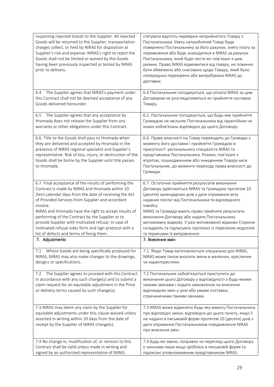| inspecting rejected Goods to the Supplier. All rejected<br>Goods will be returned to the Supplier, transportation<br>charges collect, or held by NIRAS for disposition at<br>Supplier's risk and expense. NIRAS's right to reject the<br>Goods shall not be limited or waived by the Goods<br>having been previously inspected or tested by NIRAS<br>prior to delivery.                                                                                                                                       | стягувати вартість перевірки неприйнятого Товару з<br>Постачальника. Увесь неприйнятий Товар буде<br>повернено Постачальнику за його рахунок, знято плату за<br>перевезення або буде знаходитися в NIRAS за рахунок<br>Постачальника, який буде нести всі пов'язані з цим<br>ризики. Право NIRAS відмовитися від товару, не повинно<br>бути обмежено або скасовано щодо Товару, який було<br>попередньо перевірено або випробувано NIRAS до<br>доставки.                         |
|---------------------------------------------------------------------------------------------------------------------------------------------------------------------------------------------------------------------------------------------------------------------------------------------------------------------------------------------------------------------------------------------------------------------------------------------------------------------------------------------------------------|----------------------------------------------------------------------------------------------------------------------------------------------------------------------------------------------------------------------------------------------------------------------------------------------------------------------------------------------------------------------------------------------------------------------------------------------------------------------------------|
| The Supplier agrees that NIRAS's payment under<br>6.4<br>this Contract shall not be deemed acceptance of any<br>Goods delivered hereunder.                                                                                                                                                                                                                                                                                                                                                                    | 6.4. Постачальник погоджується, що оплата NIRAS за цим<br>Договором не розглядатиметься як прийняття поставки<br>Товару.                                                                                                                                                                                                                                                                                                                                                         |
| The Supplier agrees that any acceptance by<br>6.5<br>Hromada does not release the Supplier from any<br>warranty or other obligations under this Contract.                                                                                                                                                                                                                                                                                                                                                     | 6.5. Постачальник погоджується, що будь-яке прийняття<br>Громадою не звільняє Постачальника від гарантійних чи<br>інших зобов'язань відповідно до цього Договору.                                                                                                                                                                                                                                                                                                                |
| 6.6. Title to the Goods shall pass to Hromada when<br>they are delivered and accepted by Hromada in the<br>presence of NIRAS regional specialist and Supplier's<br>representative. Risk of loss, injury, or destruction of the<br>Goods shall be borne by the Supplier until title passes<br>to Hromada.                                                                                                                                                                                                      | 6.6. Право власності на Товар переходить до Громади з<br>моменту його доставки і прийняття Громадою в<br>присутності регіонального спеціаліста NIRAS та<br>представника Постачальника. Ризики, пов'язані з<br>втратою, пошкодженням або знищенням Товару несе<br>Постачальник, до моменту переходу права власності до<br>Громади.                                                                                                                                                |
| 6.7. Final acceptance of the results of performing the<br>Contract is made by NIRAS and Hromada within 10<br>(ten) calendar days from the date of receiving the Act<br>of Provided Services from Supplier and accordant<br>invoice.<br>NIRAS and Hromada have the right to accept results of<br>performing of the Contract by the Supplier or to<br>provide Supplier with motivated refusal. In case of<br>motivated refusal sides form and sign protocol with a<br>list of defects and terms of fixing them. | 6.7. Остаточне прийняття результатів виконання<br>Договору здійснюється NIRAS та Громадою протягом 10<br>(десяти) календарних днів з дати отримання акту<br>наданих послуг від Постачальника та відповідного<br>інвойсу.<br>NIRAS та Громада мають право прийняти результати<br>виконання Договору або надати Постачальнику<br>мотивовану відмову. У разі мотивованої відмови Сторони<br>складають та підписують протокол із переліком недоліків<br>та термінами їх виправлення. |
| 7. Adjustments                                                                                                                                                                                                                                                                                                                                                                                                                                                                                                | 7. Внесення змін                                                                                                                                                                                                                                                                                                                                                                                                                                                                 |
| Where Goods are being specifically produced for<br>7.1<br>NIRAS, NIRAS may also make changes to the drawings,<br>designs or specifications.                                                                                                                                                                                                                                                                                                                                                                   | 7.1. Якщо Товар виготовляється спеціально для NIRAS,<br>NIRAS може також вносити зміни в малюнки, креслення<br>чи характеристики.                                                                                                                                                                                                                                                                                                                                                |
| The Supplier agrees to proceed with this Contract<br>7.2<br>in accordance with any such change(s) and to submit a<br>claim request for an equitable adjustment in the Price<br>or delivery terms caused by such change(s).                                                                                                                                                                                                                                                                                    | 7.2 Постачальник зобов'язується приступити до<br>виконання цього Договору у відповідності з будь-якими<br>такими змінами і подати замовлення на внесення<br>відповідних змін у ціни або умови поставки,<br>спричиненими такими змінами.                                                                                                                                                                                                                                          |
| 7.3 NIRAS may deem any claim by the Supplier for<br>equitable adjustments under this clause waived unless<br>asserted in writing within 10 days from the date of<br>receipt by the Supplier of NIRAS change(s).                                                                                                                                                                                                                                                                                               | 7.3 NIRAS може відхилити будь-яку вимогу Постачальника<br>про відповідні зміни, відповідно до цього пункту, якщо її<br>не надано в письмовій формі протягом 10 (десяти) днів з<br>дати отримання Постачальником повідомлення NIRAS<br>про внесення змін.                                                                                                                                                                                                                         |
| 7.4 No change in, modification of, or revision to this<br>Contract shall be valid unless made in writing and<br>signed by an authorized representative of NIRAS.                                                                                                                                                                                                                                                                                                                                              | 7.4 Будь-які зміни, поправки чи перегляд цього Договору<br>є чинними лише якщо зроблені в письмовій формі та<br>підписані уповноваженим представником NIRAS.                                                                                                                                                                                                                                                                                                                     |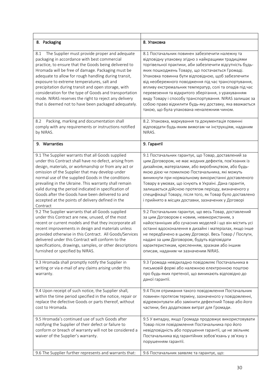| 8. Packaging                                                                                                                                                                                                                                                                                                                                                                                                                                                                                                                                                                                                                                                                                                                                                                                                                                                                                                                                                 | 8. Упаковка                                                                                                                                                                                                                                                                                                                                                                                                                                                                                                                                                                                                                                                                                                                                                                                                                                                                                                                                      |
|--------------------------------------------------------------------------------------------------------------------------------------------------------------------------------------------------------------------------------------------------------------------------------------------------------------------------------------------------------------------------------------------------------------------------------------------------------------------------------------------------------------------------------------------------------------------------------------------------------------------------------------------------------------------------------------------------------------------------------------------------------------------------------------------------------------------------------------------------------------------------------------------------------------------------------------------------------------|--------------------------------------------------------------------------------------------------------------------------------------------------------------------------------------------------------------------------------------------------------------------------------------------------------------------------------------------------------------------------------------------------------------------------------------------------------------------------------------------------------------------------------------------------------------------------------------------------------------------------------------------------------------------------------------------------------------------------------------------------------------------------------------------------------------------------------------------------------------------------------------------------------------------------------------------------|
| The Supplier must provide proper and adequate<br>8.1<br>packaging in accordance with best commercial<br>practice, to ensure that the Goods being delivered to<br>Hromada will be free of damage. Packaging must be<br>adequate to allow for rough handling during transit,<br>exposure to extreme temperatures, salt and<br>precipitation during transit and open storage, with<br>consideration for the type of Goods and transportation<br>mode. NIRAS reserves the right to reject any delivery<br>that is deemed not to have been packaged adequately.                                                                                                                                                                                                                                                                                                                                                                                                   | 8.1 Постачальник повинен забезпечити належну та<br>відповідну упаковку згідно з найкращими традиціями<br>торгівельної практики, аби забезпечити відсутність будь-<br>яких пошкоджень Товару, що постачається Громаді.<br>Упаковка повинна бути відповідною, щоб забезпечити<br>від необережного поводження під час транспортування,<br>впливу екстремальних температур, солі та опадів під час<br>перевезення та відкритого зберігання, з урахуванням<br>виду Товару і способу транспортування. NIRAS залишає за<br>собою право відхилити будь-яку доставку, яка вважається<br>такою, що була упакована неналежним чином.                                                                                                                                                                                                                                                                                                                        |
| Packing, marking and documentation shall<br>8.2<br>comply with any requirements or instructions notified<br>by NIRAS.                                                                                                                                                                                                                                                                                                                                                                                                                                                                                                                                                                                                                                                                                                                                                                                                                                        | 8.2. Упаковка, маркування та документація повинні<br>відповідати будь-яким вимогам чи інструкціям, наданим<br>NIRAS.                                                                                                                                                                                                                                                                                                                                                                                                                                                                                                                                                                                                                                                                                                                                                                                                                             |
| 9. Warranties                                                                                                                                                                                                                                                                                                                                                                                                                                                                                                                                                                                                                                                                                                                                                                                                                                                                                                                                                | 9. Гарантії                                                                                                                                                                                                                                                                                                                                                                                                                                                                                                                                                                                                                                                                                                                                                                                                                                                                                                                                      |
| 9.1 The Supplier warrants that all Goods supplied<br>under this Contract shall have no defect, arising from<br>design, materials, or workmanship or from any act or<br>omission of the Supplier that may develop under<br>normal use of the supplied Goods in the conditions<br>prevailing in the Ukraine. This warranty shall remain<br>valid during the period indicated in specification of<br>Goods after the Goods have been delivered to and<br>accepted at the points of delivery defined in the<br>Contract<br>9.2 The Supplier warrants that all Goods supplied<br>under this Contract are new, unused, of the most<br>recent or current models and that they incorporate all<br>recent improvements in design and materials unless<br>provided otherwise in this Contract. All Goods/Services<br>delivered under this Contract will conform to the<br>specifications, drawings, samples, or other descriptions<br>furnished or specified by NIRAS. | 9.1 Постачальник гарантує, що Товар, доставлений за<br>цим Договором, не має жодних дефектів, пов'язаних із<br>дизайном, матеріалами, або виробництвом, або будь-<br>якою дією чи помилкою Постачальника, які можуть<br>виникнути при нормальному використанні доставленого<br>Товару в умовах, що існують в Україні. Дана гарантія,<br>залишається дійсною протягом періоду, визначеного у<br>специфікації Товару, після того, як Товар було доставлено<br>і прийнято в місцях доставки, зазначених у Договорі<br>9.2 Постачальник гарантує, що весь Товар, доставлений<br>за цим Договором є новим, невикористаним, з<br>найостанніших або сучасних моделей і що він містить усі<br>останні вдосконалення в дизайні і матеріалах, якщо інше<br>не передбачено в цьому Договорі. Весь Товар / Послуги,<br>надані за цим Договором, будуть відповідати<br>характеристикам, кресленням, зразкам або іншим<br>описам, наданим чи зазначеним NIRAS. |
| 9.3 Hromada shall promptly notify the Supplier in<br>writing or via e-mail of any claims arising under this<br>warranty.                                                                                                                                                                                                                                                                                                                                                                                                                                                                                                                                                                                                                                                                                                                                                                                                                                     | 9.3 Громада невідкладно повідомляє Постачальника в<br>письмовій формі або належною електронною поштою<br>про будь-яких претензії, що виникають відповідно до<br>даної гарантії.                                                                                                                                                                                                                                                                                                                                                                                                                                                                                                                                                                                                                                                                                                                                                                  |
| 9.4 Upon receipt of such notice, the Supplier shall,<br>within the time period specified in the notice, repair or<br>replace the defective Goods or parts thereof, without<br>cost to Hromada.                                                                                                                                                                                                                                                                                                                                                                                                                                                                                                                                                                                                                                                                                                                                                               | 9.4 Після отримання такого повідомлення Постачальник<br>повинен протягом терміну, зазначеного у повідомленні,<br>відремонтувати або замінити дефектний Товар або його<br>частини, без додаткових витрат для Громади.                                                                                                                                                                                                                                                                                                                                                                                                                                                                                                                                                                                                                                                                                                                             |
| 9.5 Hromada's continued use of such Goods after<br>notifying the Supplier of their defect or failure to<br>conform or breach of warranty will not be considered a<br>waiver of the Supplier's warranty.                                                                                                                                                                                                                                                                                                                                                                                                                                                                                                                                                                                                                                                                                                                                                      | 9.5 У випадку, якщо Громада продовжує використовувати<br>Товар після повідомлення Постачальника про його<br>невідповідність або порушення гарантії, це не звільняє<br>Постачальника від гарантійних зобов'язань у зв'язку з<br>порушенням гарантії.                                                                                                                                                                                                                                                                                                                                                                                                                                                                                                                                                                                                                                                                                              |
| 9.6 The Supplier further represents and warrants that:                                                                                                                                                                                                                                                                                                                                                                                                                                                                                                                                                                                                                                                                                                                                                                                                                                                                                                       | 9.6 Постачальник заявляе та гарантуе, що:                                                                                                                                                                                                                                                                                                                                                                                                                                                                                                                                                                                                                                                                                                                                                                                                                                                                                                        |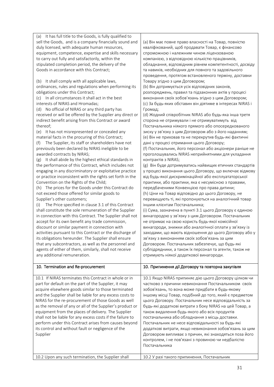| (a) It has full title to the Goods, is fully qualified to  |                                                           |
|------------------------------------------------------------|-----------------------------------------------------------|
| sell the Goods, and is a company financially sound and     | (а) Він має повне право власності на Товар, повністю      |
| duly licensed, with adequate human resources,              | кваліфікований, щоб продавати Товар, є фінансово          |
| equipment, competence, expertise and skills necessary      | спроможною і належним чином ліцензованою                  |
| to carry out fully and satisfactorily, within the          | компанією, з відповідною кількістю працівників,           |
| stipulated completion period, the delivery of the          | обладнання, відповідним рівнем компетентності, досвіду    |
| Goods in accordance with this Contract;                    | та навиків, необхідних для повного та задовільного        |
|                                                            | проведення, протягом встановленого терміну, доставки      |
| It shall comply with all applicable laws,<br>(b)           | Товару згідно з цим Договором;                            |
| ordinances, rules and regulations when performing its      | (b) Він дотримується усіх відповідних законів,            |
| obligations under this Contract;                           | розпоряджень, правил та підзаконних актів у процесі       |
| (c) In all circumstances it shall act in the best          | виконання своїх зобов'язань згідно з цим Договором;       |
| interests of NIRAS and Hromadas;                           | (с) За будь-яких обставин він діятиме в інтересах NIRAS і |
| (d) No official of NIRAS or any third party has            | Громад;                                                   |
| received or will be offered by the Supplier any direct or  | (d) Жодний співробітник NIRAS або будь-яка інша третя     |
| indirect benefit arising from this Contract or award       | сторона не отримували і не отримуватимуть від             |
| thereof;                                                   | Постачальника ніякого прямого або опосередкованого        |
| (e) It has not misrepresented or concealed any             | зиску у зв'язку з цим Договором або з його наданням;      |
| material facts in the procuring of this Contract;          | (е) Він не приховав та не перекрутив будь-які фактичні    |
| The Supplier, its staff or shareholders have not<br>(f)    | дані у процесі отримання цього Договору;                  |
| previously been declared by NIRAS ineligible to be         | (f) Постачальник, його персонал або акціонери раніше не   |
| awarded contracts by NIRAS;                                | проголошувались NIRAS неприйнятними для укладання         |
| It shall abide by the highest ethical standards in<br>(g)  | контрактів з NIRAS;                                       |
| the performance of this Contract, which includes not       | (g) Він буде дотримуватись найвищих етичних стандартів    |
| engaging in any discriminatory or exploitative practice    | у процесі виконання цього Договору, що включає відмову    |
| or practice inconsistent with the rights set forth in the  | від будь-якої дискримінаційної або експлуататорської      |
| Convention on the Rights of the Child;                     | практики, або практики, яка є несумісною з правами,       |
| The prices for the Goods under this Contract do<br>(h)     | передбаченими Конвенцією про права дитини;                |
| not exceed those offered for similar goods to              | (h) Ціни на Товар відповідно до цього Договору, не        |
| Supplier's other customers;                                | перевищують ті, які пропонуються на аналогічний товар     |
| The Price specified in clause 3.1 of this Contract<br>(i)  | іншим клієнтам Постачальника;                             |
| shall constitute the sole remuneration of the Supplier     | (i) Сума, зазначена в пункті 3.1 цього Договору є єдиною  |
| in connection with this Contract. The Supplier shall not   | винагородою у зв'язку з цим Договором. Постачальник       |
| accept for its own benefit any trade commission,           | не отримає на свою користь будь-якої комісійної           |
| discount or similar payment in connection with             | винагороди, знижки або аналогічної оплати у зв'язку із    |
| activities pursuant to this Contract or the discharge of   | заходами, що мають відношення до цього Договору або у     |
| its obligations hereunder. The Supplier shall ensure       | зв'язку з виконанням своїх зобов'язань за цим             |
| that any subcontractors, as well as the personnel and      | Договором. Постачальник забезпечує, що будь-які           |
| agents of either of them, similarly, shall not receive     | субпідрядники, а також їх персонал та агенти, також не    |
| any additional remuneration.                               | отримують ніякої додаткової винагороди.                   |
|                                                            |                                                           |
| 10. Termination and Re-procurement                         | 10. Припинення дії Договору та повторна закупівля         |
| 10.1 If NIRAS terminates this Contract in whole or in      | 10.1 Якщо NIRAS припиняє дію цього Договору цілком чи     |
| part for default on the part of the Supplier, it may       | частково з причини невиконання Постачальником своїх       |
| acquire elsewhere goods similar to those terminated        |                                                           |
|                                                            |                                                           |
| and the Supplier shall be liable for any excess costs to   | зобов'язань, то вона може придбати в будь-якому           |
|                                                            | іншому місці Товар, подібний до того, який є предметом    |
| NIRAS for the re-procurement of those Goods as well        | цього Договору. Постачальник несе відповідальність за     |
| as the removal of any or all of the Supplier's product or  | будь-які додаткові витрати з боку NIRAS на цей Товар, а   |
| equipment from the places of delivery. The Supplier        | також видалення будь-якого або всіх продуктів             |
| shall not be liable for any excess costs if the failure to | постачальника або обладнання з місць доставки.            |
| perform under this Contract arises from causes beyond      | Постачальник не несе відповідальності за будь-які         |
| its control and without fault or negligence of the         | додаткові витрати, якщо невиконання зобов'язань за цим    |
| Supplier                                                   | Договором випливає з причин, які знаходяться поза його    |
|                                                            | контролем, і не пов'язані з провиною чи недбалістю        |
|                                                            | Постачальника                                             |
| 10.2 Upon any such termination, the Supplier shall         | 10.2 У разі такого припинення, Постачальник               |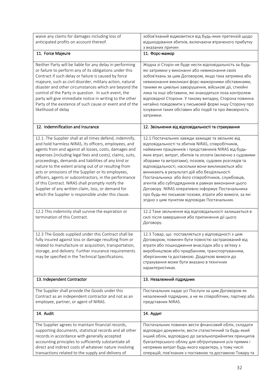| waive any claims for damages including loss of<br>anticipated profits on account thereof.                                                                                                                                                                                                                                                                                                                                                                                                                                                                                                                                                    | зобов'язаний відмовитися від будь-яких претензій щодо<br>відшкодування збитків, включаючи втраченого прибутку<br>з вказаних причин                                                                                                                                                                                                                                                                                                                                                                                                                                                                                                                                     |
|----------------------------------------------------------------------------------------------------------------------------------------------------------------------------------------------------------------------------------------------------------------------------------------------------------------------------------------------------------------------------------------------------------------------------------------------------------------------------------------------------------------------------------------------------------------------------------------------------------------------------------------------|------------------------------------------------------------------------------------------------------------------------------------------------------------------------------------------------------------------------------------------------------------------------------------------------------------------------------------------------------------------------------------------------------------------------------------------------------------------------------------------------------------------------------------------------------------------------------------------------------------------------------------------------------------------------|
| 11. Force Majeure                                                                                                                                                                                                                                                                                                                                                                                                                                                                                                                                                                                                                            | 11. Форс-мажор                                                                                                                                                                                                                                                                                                                                                                                                                                                                                                                                                                                                                                                         |
| Neither Party will be liable for any delay in performing<br>or failure to perform any of its obligations under this<br>Contract if such delay or failure is caused by force<br>majeure, such as civil disorder, military action, natural<br>disaster and other circumstances which are beyond the<br>control of the Party in question. In such event, the<br>party will give immediate notice in writing to the other<br>Party of the existence of such cause or event and of the<br>likelihood of delay                                                                                                                                     | Жодна зі Сторін не буде нести відповідальність за будь-<br>які затримки у виконанні або невиконання своїх<br>зобов'язань за цим Договором, якщо така затримка або<br>невиконання викликані форс-мажорними обставинами,<br>такими як цивільні заворушення, військові дії, стихійні<br>лиха та інші обставини, які знаходяться поза контролем<br>відповідної Сторони. У такому випадку, Сторона повинна<br>негайно повідомити у письмовій формі іншу Сторону про<br>існування таких обставин або подій та про ймовірність<br>затримки.                                                                                                                                   |
| 12. Indemnification and Insurance                                                                                                                                                                                                                                                                                                                                                                                                                                                                                                                                                                                                            | 12. Звільнення від відповідальності та страхування                                                                                                                                                                                                                                                                                                                                                                                                                                                                                                                                                                                                                     |
| 12.1. The Supplier shall at all times defend, indemnify,<br>and hold harmless NIRAS, its officers, employees, and<br>agents from and against all losses, costs, damages and<br>expenses (including legal fees and costs), claims, suits,<br>proceedings, demands and liabilities of any kind or<br>nature to the extent arising out of or resulting from<br>acts or omissions of the Supplier or its employees,<br>officers, agents or subcontractors, in the performance<br>of this Contract. NIRAS shall promptly notify the<br>Supplier of any written claim, loss, or demand for<br>which the Supplier is responsible under this clause. | 12.1 Постачальник завжди захищає та звільняє від<br>відповідальності та збитків NIRAS, співробітників,<br>найманих працівників і представників NIRAS від будь-<br>яких втрат, витрат, збитків та оплати (включно з судовими<br>зборами та витратами), позовів, судових розглядів та<br>відповідальності, наскільки вони викликаються або<br>виникають в результаті дій або бездіяльності<br>Постачальника або його співробітників, службовців,<br>агентів або субпідрядників в рамках виконання цього<br>Договору. NIRAS оперативно інформує Постачальника<br>про будь-які письмові позови, втрати або вимоги, за які<br>згідно з цим пунктом відповідає Постачальник. |
| 12.2 This indemnity shall survive the expiration or<br>termination of this Contract.                                                                                                                                                                                                                                                                                                                                                                                                                                                                                                                                                         | 12.2 Таке звільнення від відповідальності залишається в<br>силі після завершення або припинення дії цього<br>Договору.                                                                                                                                                                                                                                                                                                                                                                                                                                                                                                                                                 |
| 12.3 The Goods supplied under this Contract shall be<br>fully insured against loss or damage resulting from or<br>related to manufacture or acquisition, transportation,<br>storage, and delivery. Further insurance requirements<br>may be specified in the Technical Specifications.                                                                                                                                                                                                                                                                                                                                                       | 12.3 Товар, що поставляється у відповідності з цим<br>Договором, повинен бути повністю застрахований від<br>втрати або пошкодження внаслідок або у зв'язку з<br>виробництвом або придбанням, транспортуванням,<br>зберіганням та доставкою. Додаткові вимоги до<br>страхування може бути вказано в технічних<br>характеристиках.                                                                                                                                                                                                                                                                                                                                       |
| 13. Independent Contractor                                                                                                                                                                                                                                                                                                                                                                                                                                                                                                                                                                                                                   | 13. Незалежний підрядник                                                                                                                                                                                                                                                                                                                                                                                                                                                                                                                                                                                                                                               |
| The Supplier shall provide the Goods under this<br>Contract as an independent contractor and not as an<br>employee, partner, or agent of NIRAS.                                                                                                                                                                                                                                                                                                                                                                                                                                                                                              | Постачальник надає усі Послуги за цим Договором як<br>незалежний підрядник, а не як співробітник, партнер або<br>представник NIRAS.                                                                                                                                                                                                                                                                                                                                                                                                                                                                                                                                    |
| 14. Audit                                                                                                                                                                                                                                                                                                                                                                                                                                                                                                                                                                                                                                    | 14. Аудит                                                                                                                                                                                                                                                                                                                                                                                                                                                                                                                                                                                                                                                              |
| The Supplier agrees to maintain financial records,<br>supporting documents, statistical records and all other<br>records in accordance with generally accepted<br>accounting principles to sufficiently substantiate all<br>direct and indirect costs of whatever nature involving<br>transactions related to the supply and delivery of                                                                                                                                                                                                                                                                                                     | Постачальник повинен вести фінансовий облік, складати<br>відповідні документи, вести статистичний та будь-який<br>інший облік, відповідно до загальноприйнятих принципів<br>бухгалтерського обліку для обґрунтування усіх прямих і<br>непрямих витрат будь-якого характеру, у тому числі<br>операцій, пов'язаних з поставкою та доставкою Товару та                                                                                                                                                                                                                                                                                                                    |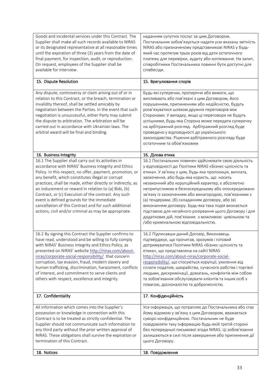| Goods and incidental services under this Contract. The<br>Supplier shall make all such records available to NIRAS<br>or its designated representative at all reasonable times<br>until the expiration of three (3) years from the date of<br>final payment, for inspection, audit, or reproduction.                                                                                                                                                                                                                                                                          | наданням супутніх послуг за цим Договором.<br>Постачальник зобов'язується надати усю вказану звітність<br>NIRAS або призначеному представникові NIRAS у будь-<br>який час протягом трьох років від дати остаточного<br>платежу для перевірки, аудиту або копіювання. На запит,                                                                                                                                                                                                                                                                                                                                                                                 |
|------------------------------------------------------------------------------------------------------------------------------------------------------------------------------------------------------------------------------------------------------------------------------------------------------------------------------------------------------------------------------------------------------------------------------------------------------------------------------------------------------------------------------------------------------------------------------|----------------------------------------------------------------------------------------------------------------------------------------------------------------------------------------------------------------------------------------------------------------------------------------------------------------------------------------------------------------------------------------------------------------------------------------------------------------------------------------------------------------------------------------------------------------------------------------------------------------------------------------------------------------|
| On request, employees of the Supplier shall be<br>available for interview.                                                                                                                                                                                                                                                                                                                                                                                                                                                                                                   | співробітники Постачальника повинні бути доступні для<br>співбесіди.                                                                                                                                                                                                                                                                                                                                                                                                                                                                                                                                                                                           |
| 15. Dispute Resolution                                                                                                                                                                                                                                                                                                                                                                                                                                                                                                                                                       | 15. Врегулювання спорів                                                                                                                                                                                                                                                                                                                                                                                                                                                                                                                                                                                                                                        |
| Any dispute, controversy or claim arising out of or in<br>relation to this Contract, or the breach, termination or<br>invalidity thereof, shall be settled amicably by<br>negotiation between the Parties. In the event that such<br>negotiation is unsuccessful, either Party may submit<br>the dispute to arbitration. The arbitration will be<br>carried out in accordance with Ukrainian laws. The<br>arbitral award will be final and binding.                                                                                                                          | Будь-які суперечки, протиріччя або вимоги, що<br>випливають або пов'язані з цим Договором, його<br>порушенням, припиненням або недійсністю, будуть<br>розв'язуватися шляхом дружніх переговорів між<br>Сторонами. У випадку, якщо ці переговори не будуть<br>успішними, будь-яка Сторона може передати суперечку<br>на арбітражний розгляд. Арбітражний розгляд буде<br>проведено у відповідності до українського<br>законодавства. Рішення арбітражного розгляду буде<br>остаточним та обов'язковим                                                                                                                                                           |
| 16. Business Integrity                                                                                                                                                                                                                                                                                                                                                                                                                                                                                                                                                       | 16. Ділова етика                                                                                                                                                                                                                                                                                                                                                                                                                                                                                                                                                                                                                                               |
| 16.1 The Supplier shall carry out its activities in<br>accordance with NIRAS' Business Integrity and Ethics<br>Policy. In this respect, no offer, payment, promotion, or<br>any benefit, which constitutes illegal or corrupt<br>practices, shall be made, either directly or indirectly, as<br>an inducement or reward in relation to (a) Bids, (b)<br>Contract, or (c) Execution of the contract. Any such<br>event is defined grounds for the immediate<br>cancellation of this Contract and for such additional<br>actions, civil and/or criminal as may be appropriate. | 16.1 Постачальник повинен здійснювати свою діяльність<br>у відповідності до Політики NIRAS «Бізнес-цілісність та<br>етика». У зв'язку з цим, будь-яка пропозиція, виплата,<br>заохочення, або будь-яка користь, що носить<br>незаконний або корупційний характер, є абсолютно<br>неприпустимою в безпосередньому або опосередковано<br>зв'язку із заохоченням або винагородою, пов'язаними з<br>(а) тендерами, (б) складанням договору, або (в)<br>виконанням договору. Будь-яка така подія визнається<br>підставою для негайного розірвання цього Договору і для<br>додаткових дій, пов'язаних з можливою цивільною та<br>/або кримінальною відповідальністю. |
| 16.2 By signing this Contract the Supplier confirms to<br>have read, understood and be willing to fully comply<br>with NIRAS' Business Integrity and Ethics Policy, as<br>presented on NIRAS' website http://niras.com/about-<br>niras/corporate-social-responsibility/ that concern<br>corruption, tax evasion, fraud, modern slavery and<br>human trafficking, discrimination, harassment, conflicts<br>of interest, and commitment to serve clients and<br>others with respect, excellence and integrity.                                                                 | 16.2 Підписавши даний Договір, Виконавець<br>підтверджує, що прочитав, зрозумів і готовий<br>дотримуватися Політики NIRAS «Бізнес-цілісність та<br>етика», що представлена на сайті NIRAS<br>http://niras.com/about-niras/corporate-social-<br>responsibility/, що стосуються корупції, ухилення від<br>сплати податків, шахрайства, сучасного рабства і торгівлі<br>людьми, дискримінації, домагань, конфліктів між собою<br>та зобов'язання обслуговувати клієнтів та інших осіб з<br>повагою, досконалістю та доброчесністю.                                                                                                                                |
| 17. Confidentiality                                                                                                                                                                                                                                                                                                                                                                                                                                                                                                                                                          | 17. Конфіденційність                                                                                                                                                                                                                                                                                                                                                                                                                                                                                                                                                                                                                                           |
| All information which comes into the Supplier's<br>possession or knowledge in connection with this<br>Contract is to be treated as strictly confidential. The<br>Supplier should not communicate such information to<br>any third party without the prior written approval of<br>NIRAS. These obligations shall survive the expiration or<br>termination of this Contract.                                                                                                                                                                                                   | Уся інформація, що потрапляє до Постачальника або стає<br>йому відомою у зв'язку з цим Договором, вважається<br>суворо конфіденційною. Постачальник не буде<br>повідомляти таку інформацію будь-якій третій стороні<br>без попередньої письмової згоди NIRAS. Ці зобов'язання<br>залишаються в силі після завершення або припинення дії<br>цього Договору.                                                                                                                                                                                                                                                                                                     |
| 18. Notices                                                                                                                                                                                                                                                                                                                                                                                                                                                                                                                                                                  | 18. Повідомлення                                                                                                                                                                                                                                                                                                                                                                                                                                                                                                                                                                                                                                               |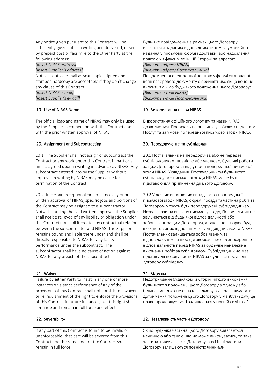| Any notice given pursuant to this Contract will be<br>sufficiently given if it is in writing and delivered, or sent<br>by prepaid post or facsimile to the other Party at the<br>following address:<br>[Insert NIRAS address]<br>[Insert Supplier's address]<br>Notices sent via e-mail as scan copies signed and<br>stamped hardcopy are acceptable if they don't change<br>any clause of this Contract:<br>[Insert NIRAS e-mail]<br>[Insert Supplier's e-mail]                                                                                                                                                                                                 | Будь-яке повідомлення в рамках цього Договору<br>вважається наданим відповідним чином за умови його<br>надання у письмовій формі і доставки, або надсилання<br>поштою чи факсиміле іншій Стороні за адресою:<br>[Вкажіть адресу NIRAS]<br>[Вкажіть адресу Постачальника]<br>Повідомлення електронної поштою у формі сканованої<br>копії паперового документу є прийнятним, якщо воно не<br>вносить змін до будь-якого положення цього Договору:<br>[Вкажіть e-mail NIRAS]<br>[Вкажіть е-таіl Постачальника]                                                                                                                                                                                         |
|------------------------------------------------------------------------------------------------------------------------------------------------------------------------------------------------------------------------------------------------------------------------------------------------------------------------------------------------------------------------------------------------------------------------------------------------------------------------------------------------------------------------------------------------------------------------------------------------------------------------------------------------------------------|-----------------------------------------------------------------------------------------------------------------------------------------------------------------------------------------------------------------------------------------------------------------------------------------------------------------------------------------------------------------------------------------------------------------------------------------------------------------------------------------------------------------------------------------------------------------------------------------------------------------------------------------------------------------------------------------------------|
| 19. Use of NIRAS Name                                                                                                                                                                                                                                                                                                                                                                                                                                                                                                                                                                                                                                            | 19. Використання назви NIRAS                                                                                                                                                                                                                                                                                                                                                                                                                                                                                                                                                                                                                                                                        |
| The official logo and name of NIRAS may only be used<br>by the Supplier in connection with this Contract and<br>with the prior written approval of NIRAS.                                                                                                                                                                                                                                                                                                                                                                                                                                                                                                        | Використання офіційного логотипу та назви NIRAS<br>дозволяється Постачальникові лише у зв'язку з наданням<br>Послуг та за умови попередньої письмової згоди NIRAS.                                                                                                                                                                                                                                                                                                                                                                                                                                                                                                                                  |
| 20. Assignment and Subcontracting                                                                                                                                                                                                                                                                                                                                                                                                                                                                                                                                                                                                                                | 20. Передоручення та субпідряди                                                                                                                                                                                                                                                                                                                                                                                                                                                                                                                                                                                                                                                                     |
| 20.1 The Supplier shall not assign or subcontract the<br>Contract or any work under this Contract in part or all,<br>unless agreed upon in writing in advance by NIRAS. Any<br>subcontract entered into by the Supplier without<br>approval in writing by NIRAS may be cause for<br>termination of the Contract.                                                                                                                                                                                                                                                                                                                                                 | 20.1 Постачальник не передоручає або не передає<br>субпідрядникам, повністю або частково, будь-які роботи<br>за цим Договором за відсутності попередньої письмової<br>згоди NIRAS. Укладання Постачальником будь-якого<br>субпідряду без письмової згоди NIRAS може бути<br>підставою для припинення дії цього Договору.                                                                                                                                                                                                                                                                                                                                                                            |
| 20.2 In certain exceptional circumstances by prior<br>written approval of NIRAS, specific jobs and portions of<br>the Contract may be assigned to a subcontractor.<br>Notwithstanding the said written approval, the Supplier<br>shall not be relieved of any liability or obligation under<br>this Contract nor shall it create any contractual relation<br>between the subcontractor and NIRAS. The Supplier<br>remains bound and liable there under and shall be<br>directly responsible to NIRAS for any faulty<br>performance under the subcontract. The<br>subcontractor shall have no cause of action against<br>NIRAS for any breach of the subcontract. | 20.2 У деяких виняткових випадках, за попередньої<br>письмової згоди NIRAS, окремі посади та частина робіт за<br>Договором можуть бути передоручені субпідрядникам.<br>Незважаючи на вказану письмову згоду, Постачальник не<br>звільняється від будь-якої відповідальності або<br>зобов'язань за цим Договором, а також не створює будь-<br>яких договірних відносин між субпідрядниками та NIRAS.<br>Постачальник залишається зобов'язаним та<br>відповідальним за цим Договором і несе безпосередню<br>відповідальність перед NIRAS за будь-яке неналежне<br>виконання робіт за субпідрядом. Субпідрядник не має<br>підстав для позову проти NIRAS за будь-яке порушення<br>договору субпідряду. |
| 21. Waiver                                                                                                                                                                                                                                                                                                                                                                                                                                                                                                                                                                                                                                                       | 21. Відмова                                                                                                                                                                                                                                                                                                                                                                                                                                                                                                                                                                                                                                                                                         |
| Failure by either Party to insist in any one or more<br>instances on a strict performance of any of the<br>provisions of this Contract shall not constitute a waiver<br>or relinquishment of the right to enforce the provisions<br>of this Contract in future instances, but this right shall<br>continue and remain in full force and effect.                                                                                                                                                                                                                                                                                                                  | Недотримання будь-якою із Сторін чіткого виконання<br>будь-якого з положень цього Договору в одному або<br>більше випадках не означає відмову від права вимагати<br>дотримання положень цього Договору у майбутньому, це<br>право продовжується і залишається у повній силі та дії.                                                                                                                                                                                                                                                                                                                                                                                                                 |
| 22. Severability                                                                                                                                                                                                                                                                                                                                                                                                                                                                                                                                                                                                                                                 | 22. Незалежність частин Договору                                                                                                                                                                                                                                                                                                                                                                                                                                                                                                                                                                                                                                                                    |
| If any part of this Contract is found to be invalid or<br>unenforceable, that part will be severed from this<br>Contract and the remainder of the Contract shall<br>remain in full force.                                                                                                                                                                                                                                                                                                                                                                                                                                                                        | Якщо будь-яка частина цього Договору виявляється<br>нечинною або такою, що не може виконуватись, то така<br>частина вилучається з Договору, а всі інші частини<br>Договору залишаються повністю чинними.                                                                                                                                                                                                                                                                                                                                                                                                                                                                                            |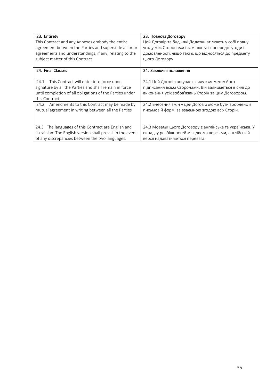| 23. Entirety                                                                                                                                                                                           | 23. Повнота Договору                                                                                                                                                                    |
|--------------------------------------------------------------------------------------------------------------------------------------------------------------------------------------------------------|-----------------------------------------------------------------------------------------------------------------------------------------------------------------------------------------|
| This Contract and any Annexes embody the entire<br>agreement between the Parties and supersede all prior<br>agreements and understandings, if any, relating to the<br>subject matter of this Contract. | Цей Договір та будь-які Додатки втілюють у собі повну<br>угоду між Сторонами і замінює усі попередні угоди і<br>домовленості, якщо такі є, що відносяться до предмету<br>цього Договору |
| 24. Final Clauses                                                                                                                                                                                      | 24. Заключні положення                                                                                                                                                                  |
| 24.1 This Contract will enter into force upon<br>signature by all the Parties and shall remain in force<br>until completion of all obligations of the Parties under<br>this Contract                   | 24.1 Цей Договір вступає в силу з моменту його<br>підписання всіма Сторонами. Він залишається в силі до<br>виконання усіх зобов'язань Сторін за цим Договором.                          |
| Amendments to this Contract may be made by<br>24.2<br>mutual agreement in writing between all the Parties                                                                                              | 24.2 Внесення змін у цей Договір може бути зроблено в<br>письмовій формі за взаємною згодою всіх Сторін.                                                                                |
| 24.3 The languages of this Contract are English and<br>Ukrainian. The English version shall prevail in the event<br>of any discrepancies between the two languages.                                    | 24.3 Мовами цього Договору є англійська та українська. У<br>випадку розбіжностей між двома версіями, англійській<br>версії надаватиметься перевага.                                     |